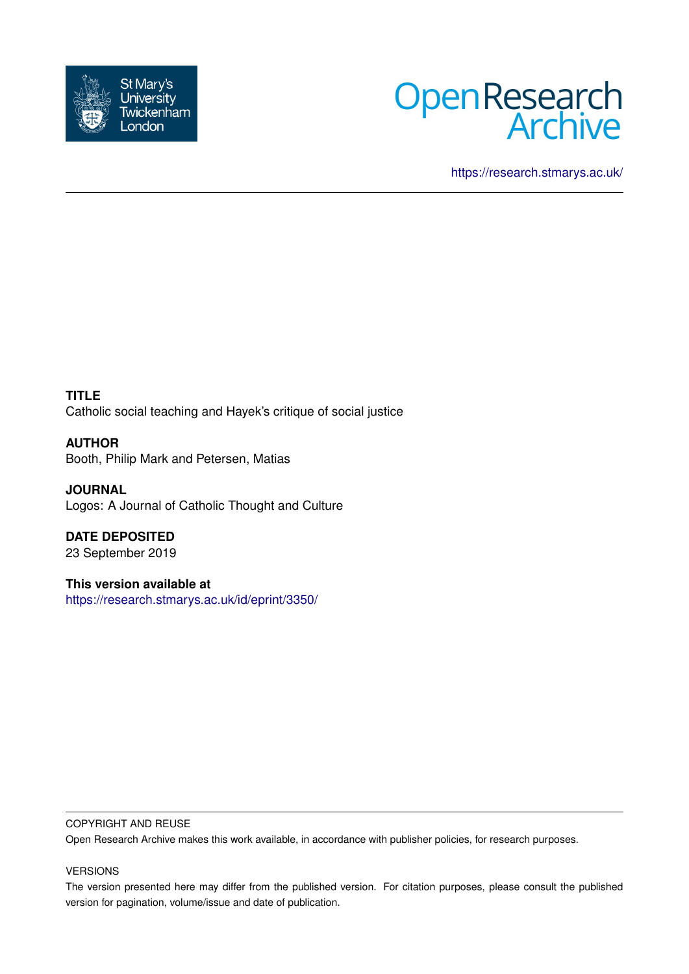



<https://research.stmarys.ac.uk/>

**TITLE** Catholic social teaching and Hayek's critique of social justice

**AUTHOR** Booth, Philip Mark and Petersen, Matias

**JOURNAL** Logos: A Journal of Catholic Thought and Culture

**DATE DEPOSITED** 23 September 2019

**This version available at** <https://research.stmarys.ac.uk/id/eprint/3350/>

#### COPYRIGHT AND REUSE

Open Research Archive makes this work available, in accordance with publisher policies, for research purposes.

### VERSIONS

The version presented here may differ from the published version. For citation purposes, please consult the published version for pagination, volume/issue and date of publication.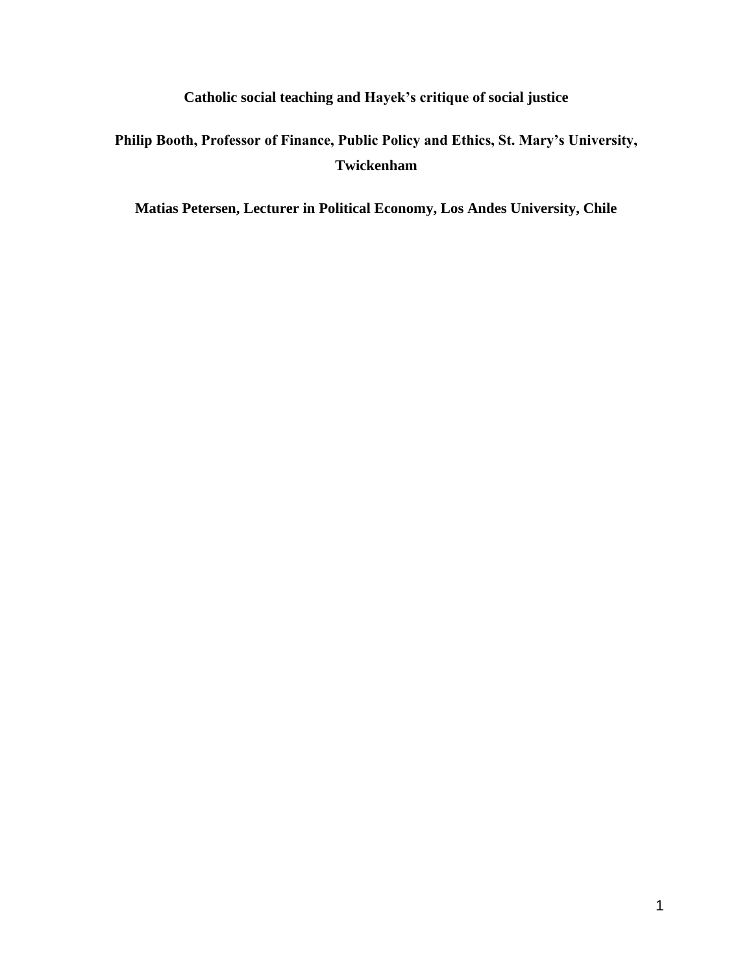# **Catholic social teaching and Hayek's critique of social justice**

# **Philip Booth, Professor of Finance, Public Policy and Ethics, St. Mary's University, Twickenham**

**Matias Petersen, Lecturer in Political Economy, Los Andes University, Chile**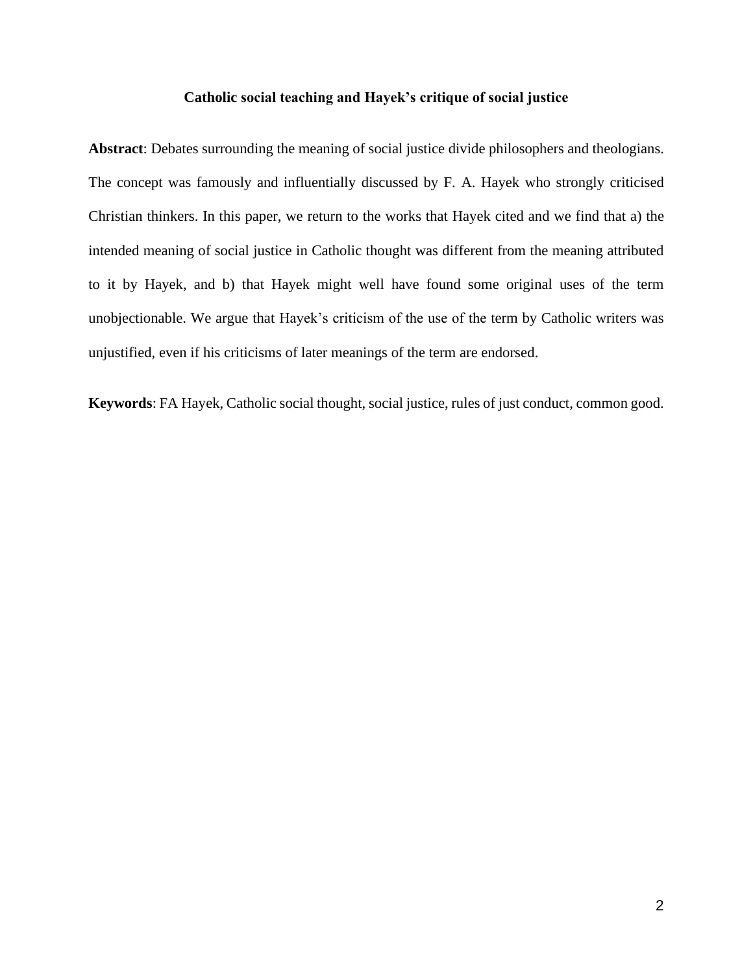#### **Catholic social teaching and Hayek's critique of social justice**

**Abstract**: Debates surrounding the meaning of social justice divide philosophers and theologians. The concept was famously and influentially discussed by F. A. Hayek who strongly criticised Christian thinkers. In this paper, we return to the works that Hayek cited and we find that a) the intended meaning of social justice in Catholic thought was different from the meaning attributed to it by Hayek, and b) that Hayek might well have found some original uses of the term unobjectionable. We argue that Hayek's criticism of the use of the term by Catholic writers was unjustified, even if his criticisms of later meanings of the term are endorsed.

**Keywords**: FA Hayek, Catholic social thought, social justice, rules of just conduct, common good.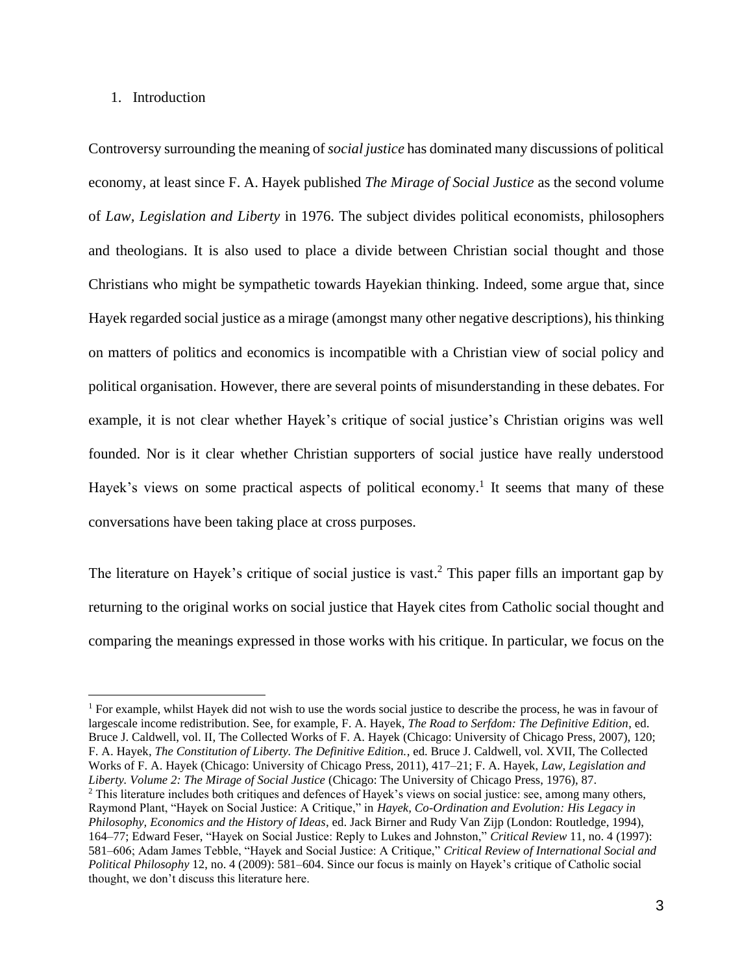#### 1. Introduction

Controversy surrounding the meaning of *social justice* has dominated many discussions of political economy, at least since F. A. Hayek published *The Mirage of Social Justice* as the second volume of *Law, Legislation and Liberty* in 1976. The subject divides political economists, philosophers and theologians. It is also used to place a divide between Christian social thought and those Christians who might be sympathetic towards Hayekian thinking. Indeed, some argue that, since Hayek regarded social justice as a mirage (amongst many other negative descriptions), his thinking on matters of politics and economics is incompatible with a Christian view of social policy and political organisation. However, there are several points of misunderstanding in these debates. For example, it is not clear whether Hayek's critique of social justice's Christian origins was well founded. Nor is it clear whether Christian supporters of social justice have really understood Hayek's views on some practical aspects of political economy.<sup>1</sup> It seems that many of these conversations have been taking place at cross purposes.

The literature on Hayek's critique of social justice is vast.<sup>2</sup> This paper fills an important gap by returning to the original works on social justice that Hayek cites from Catholic social thought and comparing the meanings expressed in those works with his critique. In particular, we focus on the

<sup>1</sup> For example, whilst Hayek did not wish to use the words social justice to describe the process, he was in favour of largescale income redistribution. See, for example, F. A. Hayek, *The Road to Serfdom: The Definitive Edition*, ed. Bruce J. Caldwell, vol. II, The Collected Works of F. A. Hayek (Chicago: University of Chicago Press, 2007), 120; F. A. Hayek, *The Constitution of Liberty. The Definitive Edition.*, ed. Bruce J. Caldwell, vol. XVII, The Collected Works of F. A. Hayek (Chicago: University of Chicago Press, 2011), 417–21; F. A. Hayek, *Law, Legislation and Liberty. Volume 2: The Mirage of Social Justice* (Chicago: The University of Chicago Press, 1976), 87. <sup>2</sup> This literature includes both critiques and defences of Hayek's views on social justice: see, among many others,

Raymond Plant, "Hayek on Social Justice: A Critique," in *Hayek, Co-Ordination and Evolution: His Legacy in Philosophy, Economics and the History of Ideas*, ed. Jack Birner and Rudy Van Zijp (London: Routledge, 1994), 164–77; Edward Feser, "Hayek on Social Justice: Reply to Lukes and Johnston," *Critical Review* 11, no. 4 (1997): 581–606; Adam James Tebble, "Hayek and Social Justice: A Critique," *Critical Review of International Social and Political Philosophy* 12, no. 4 (2009): 581–604. Since our focus is mainly on Hayek's critique of Catholic social thought, we don't discuss this literature here.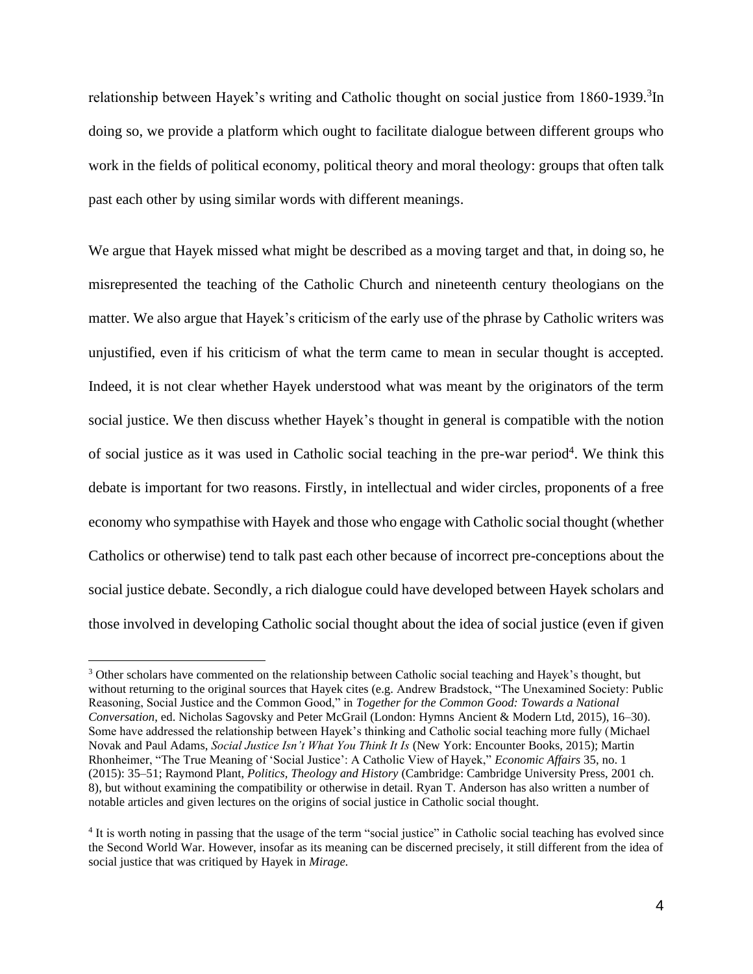relationship between Hayek's writing and Catholic thought on social justice from 1860-1939.<sup>3</sup>In doing so, we provide a platform which ought to facilitate dialogue between different groups who work in the fields of political economy, political theory and moral theology: groups that often talk past each other by using similar words with different meanings.

We argue that Hayek missed what might be described as a moving target and that, in doing so, he misrepresented the teaching of the Catholic Church and nineteenth century theologians on the matter. We also argue that Hayek's criticism of the early use of the phrase by Catholic writers was unjustified, even if his criticism of what the term came to mean in secular thought is accepted. Indeed, it is not clear whether Hayek understood what was meant by the originators of the term social justice. We then discuss whether Hayek's thought in general is compatible with the notion of social justice as it was used in Catholic social teaching in the pre-war period<sup>4</sup>. We think this debate is important for two reasons. Firstly, in intellectual and wider circles, proponents of a free economy who sympathise with Hayek and those who engage with Catholic social thought (whether Catholics or otherwise) tend to talk past each other because of incorrect pre-conceptions about the social justice debate. Secondly, a rich dialogue could have developed between Hayek scholars and those involved in developing Catholic social thought about the idea of social justice (even if given

<sup>3</sup> Other scholars have commented on the relationship between Catholic social teaching and Hayek's thought, but without returning to the original sources that Hayek cites (e.g. Andrew Bradstock, "The Unexamined Society: Public Reasoning, Social Justice and the Common Good," in *Together for the Common Good: Towards a National Conversation*, ed. Nicholas Sagovsky and Peter McGrail (London: Hymns Ancient & Modern Ltd, 2015), 16–30). Some have addressed the relationship between Hayek's thinking and Catholic social teaching more fully (Michael Novak and Paul Adams, *Social Justice Isn't What You Think It Is* (New York: Encounter Books, 2015); Martin Rhonheimer, "The True Meaning of 'Social Justice': A Catholic View of Hayek," *Economic Affairs* 35, no. 1 (2015): 35–51; Raymond Plant, *Politics, Theology and History* (Cambridge: Cambridge University Press, 2001 ch. 8), but without examining the compatibility or otherwise in detail. Ryan T. Anderson has also written a number of notable articles and given lectures on the origins of social justice in Catholic social thought.

<sup>&</sup>lt;sup>4</sup> It is worth noting in passing that the usage of the term "social justice" in Catholic social teaching has evolved since the Second World War. However, insofar as its meaning can be discerned precisely, it still different from the idea of social justice that was critiqued by Hayek in *Mirage.*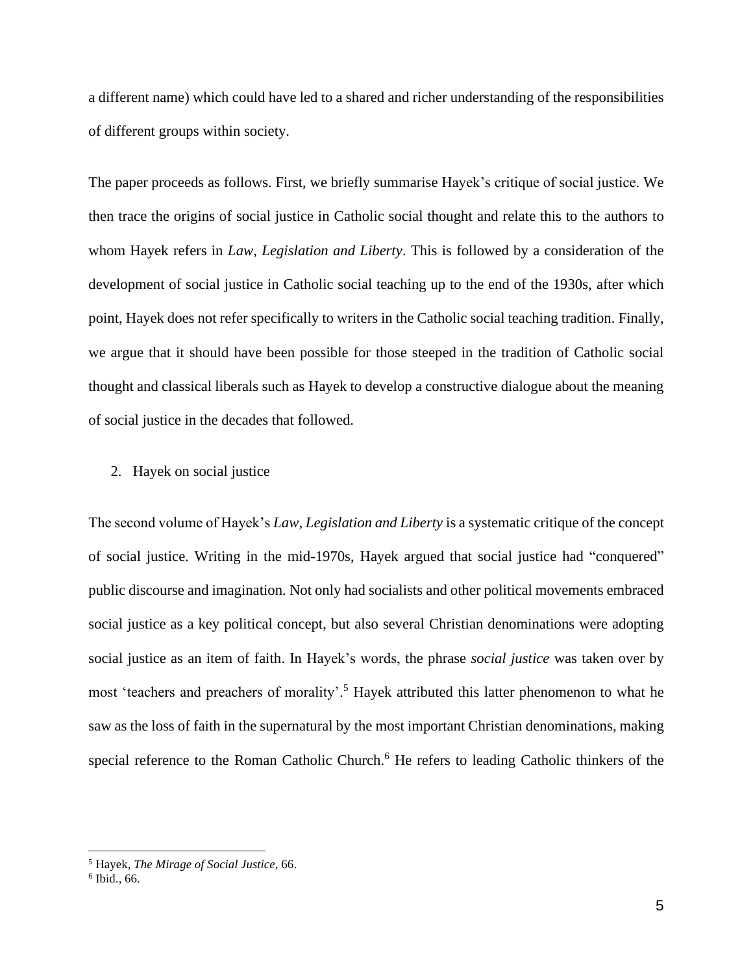a different name) which could have led to a shared and richer understanding of the responsibilities of different groups within society.

The paper proceeds as follows. First, we briefly summarise Hayek's critique of social justice. We then trace the origins of social justice in Catholic social thought and relate this to the authors to whom Hayek refers in *Law, Legislation and Liberty*. This is followed by a consideration of the development of social justice in Catholic social teaching up to the end of the 1930s, after which point, Hayek does not refer specifically to writers in the Catholic social teaching tradition. Finally, we argue that it should have been possible for those steeped in the tradition of Catholic social thought and classical liberals such as Hayek to develop a constructive dialogue about the meaning of social justice in the decades that followed.

#### 2. Hayek on social justice

The second volume of Hayek's *Law, Legislation and Liberty* is a systematic critique of the concept of social justice. Writing in the mid-1970s, Hayek argued that social justice had "conquered" public discourse and imagination. Not only had socialists and other political movements embraced social justice as a key political concept, but also several Christian denominations were adopting social justice as an item of faith. In Hayek's words, the phrase *social justice* was taken over by most 'teachers and preachers of morality'.<sup>5</sup> Hayek attributed this latter phenomenon to what he saw as the loss of faith in the supernatural by the most important Christian denominations, making special reference to the Roman Catholic Church.<sup>6</sup> He refers to leading Catholic thinkers of the

<sup>5</sup> Hayek, *The Mirage of Social Justice*, 66.

<sup>6</sup> Ibid., 66.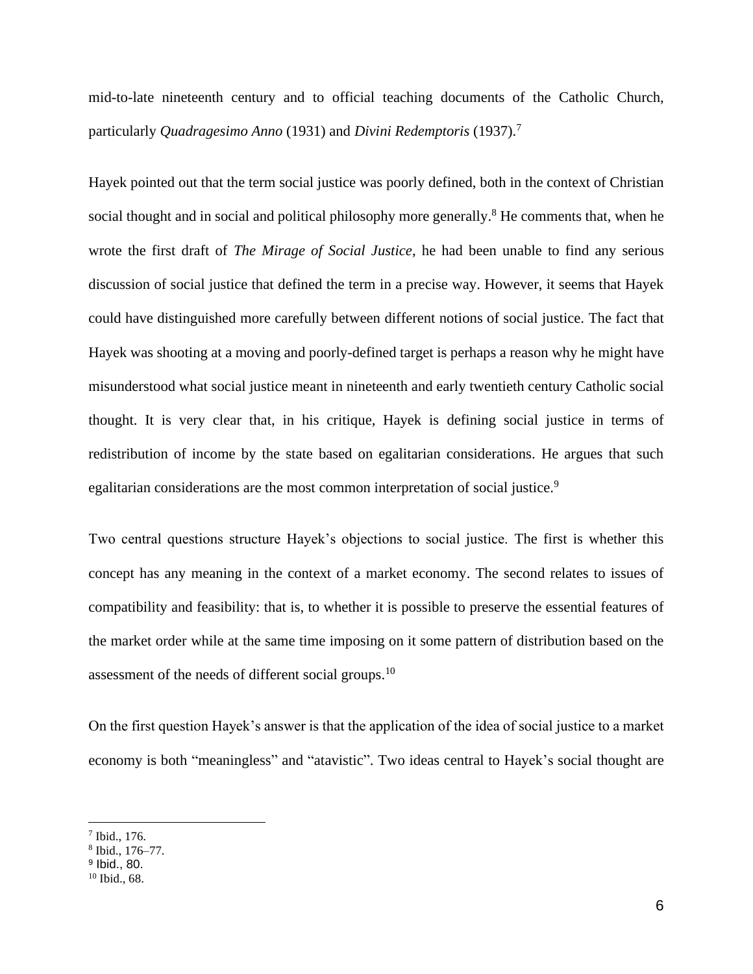mid-to-late nineteenth century and to official teaching documents of the Catholic Church, particularly *Quadragesimo Anno* (1931) and *Divini Redemptoris* (1937). 7

Hayek pointed out that the term social justice was poorly defined, both in the context of Christian social thought and in social and political philosophy more generally.<sup>8</sup> He comments that, when he wrote the first draft of *The Mirage of Social Justice*, he had been unable to find any serious discussion of social justice that defined the term in a precise way. However, it seems that Hayek could have distinguished more carefully between different notions of social justice. The fact that Hayek was shooting at a moving and poorly-defined target is perhaps a reason why he might have misunderstood what social justice meant in nineteenth and early twentieth century Catholic social thought. It is very clear that, in his critique, Hayek is defining social justice in terms of redistribution of income by the state based on egalitarian considerations. He argues that such egalitarian considerations are the most common interpretation of social justice.<sup>9</sup>

Two central questions structure Hayek's objections to social justice. The first is whether this concept has any meaning in the context of a market economy. The second relates to issues of compatibility and feasibility: that is, to whether it is possible to preserve the essential features of the market order while at the same time imposing on it some pattern of distribution based on the assessment of the needs of different social groups.<sup>10</sup>

On the first question Hayek's answer is that the application of the idea of social justice to a market economy is both "meaningless" and "atavistic". Two ideas central to Hayek's social thought are

<sup>7</sup> Ibid., 176.

<sup>8</sup> Ibid., 176–77.

<sup>9</sup> Ibid., 80.

<sup>10</sup> Ibid., 68.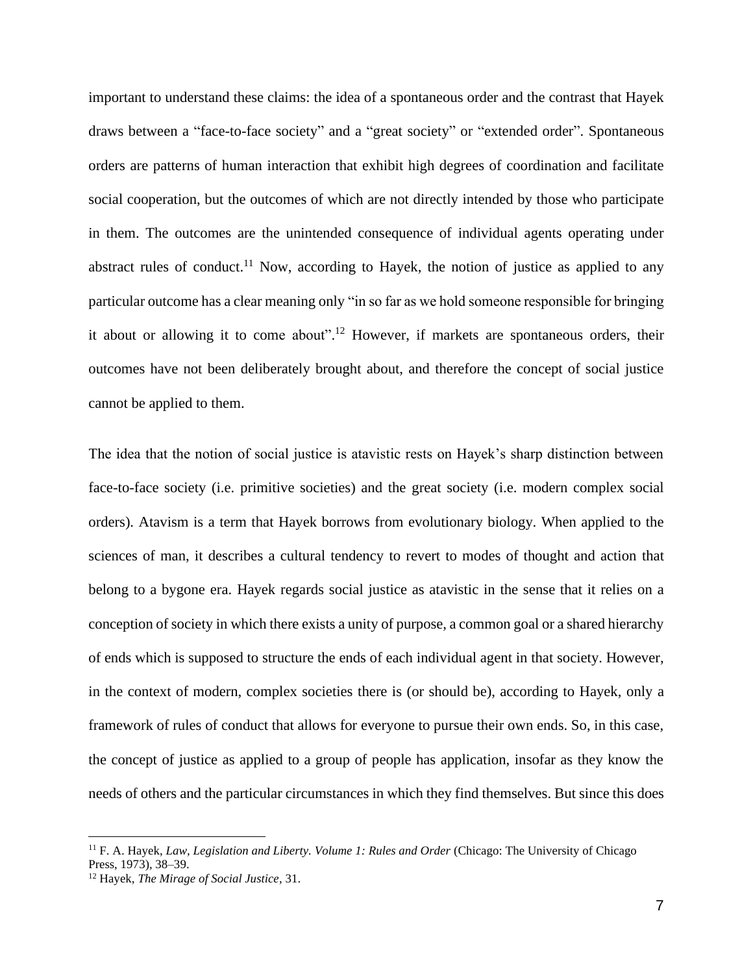important to understand these claims: the idea of a spontaneous order and the contrast that Hayek draws between a "face-to-face society" and a "great society" or "extended order". Spontaneous orders are patterns of human interaction that exhibit high degrees of coordination and facilitate social cooperation, but the outcomes of which are not directly intended by those who participate in them. The outcomes are the unintended consequence of individual agents operating under abstract rules of conduct.<sup>11</sup> Now, according to Hayek, the notion of justice as applied to any particular outcome has a clear meaning only "in so far as we hold someone responsible for bringing it about or allowing it to come about".<sup>12</sup> However, if markets are spontaneous orders, their outcomes have not been deliberately brought about, and therefore the concept of social justice cannot be applied to them.

The idea that the notion of social justice is atavistic rests on Hayek's sharp distinction between face-to-face society (i.e. primitive societies) and the great society (i.e. modern complex social orders). Atavism is a term that Hayek borrows from evolutionary biology. When applied to the sciences of man, it describes a cultural tendency to revert to modes of thought and action that belong to a bygone era. Hayek regards social justice as atavistic in the sense that it relies on a conception of society in which there exists a unity of purpose, a common goal or a shared hierarchy of ends which is supposed to structure the ends of each individual agent in that society. However, in the context of modern, complex societies there is (or should be), according to Hayek, only a framework of rules of conduct that allows for everyone to pursue their own ends. So, in this case, the concept of justice as applied to a group of people has application, insofar as they know the needs of others and the particular circumstances in which they find themselves. But since this does

<sup>11</sup> F. A. Hayek, *Law, Legislation and Liberty. Volume 1: Rules and Order* (Chicago: The University of Chicago Press, 1973), 38–39.

<sup>12</sup> Hayek, *The Mirage of Social Justice*, 31.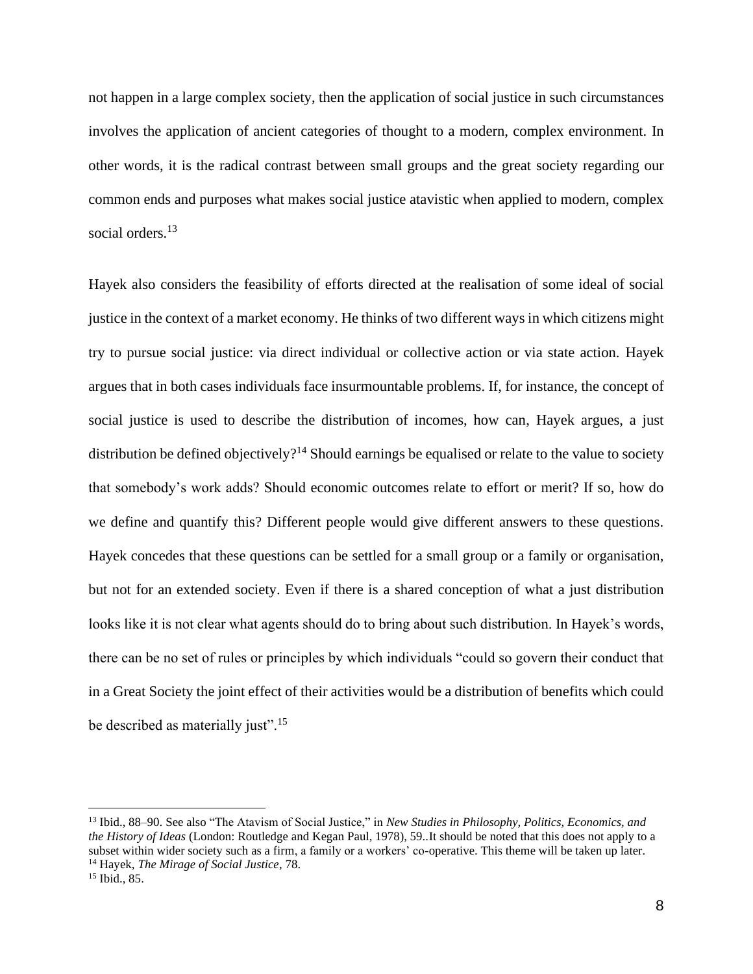not happen in a large complex society, then the application of social justice in such circumstances involves the application of ancient categories of thought to a modern, complex environment. In other words, it is the radical contrast between small groups and the great society regarding our common ends and purposes what makes social justice atavistic when applied to modern, complex social orders.<sup>13</sup>

Hayek also considers the feasibility of efforts directed at the realisation of some ideal of social justice in the context of a market economy. He thinks of two different ways in which citizens might try to pursue social justice: via direct individual or collective action or via state action. Hayek argues that in both cases individuals face insurmountable problems. If, for instance, the concept of social justice is used to describe the distribution of incomes, how can, Hayek argues, a just distribution be defined objectively?<sup>14</sup> Should earnings be equalised or relate to the value to society that somebody's work adds? Should economic outcomes relate to effort or merit? If so, how do we define and quantify this? Different people would give different answers to these questions. Hayek concedes that these questions can be settled for a small group or a family or organisation, but not for an extended society. Even if there is a shared conception of what a just distribution looks like it is not clear what agents should do to bring about such distribution. In Hayek's words, there can be no set of rules or principles by which individuals "could so govern their conduct that in a Great Society the joint effect of their activities would be a distribution of benefits which could be described as materially just".<sup>15</sup>

<sup>13</sup> Ibid., 88–90. See also "The Atavism of Social Justice," in *New Studies in Philosophy, Politics, Economics, and the History of Ideas* (London: Routledge and Kegan Paul, 1978), 59..It should be noted that this does not apply to a subset within wider society such as a firm, a family or a workers' co-operative. This theme will be taken up later. <sup>14</sup> Hayek, *The Mirage of Social Justice*, 78.

<sup>15</sup> Ibid., 85.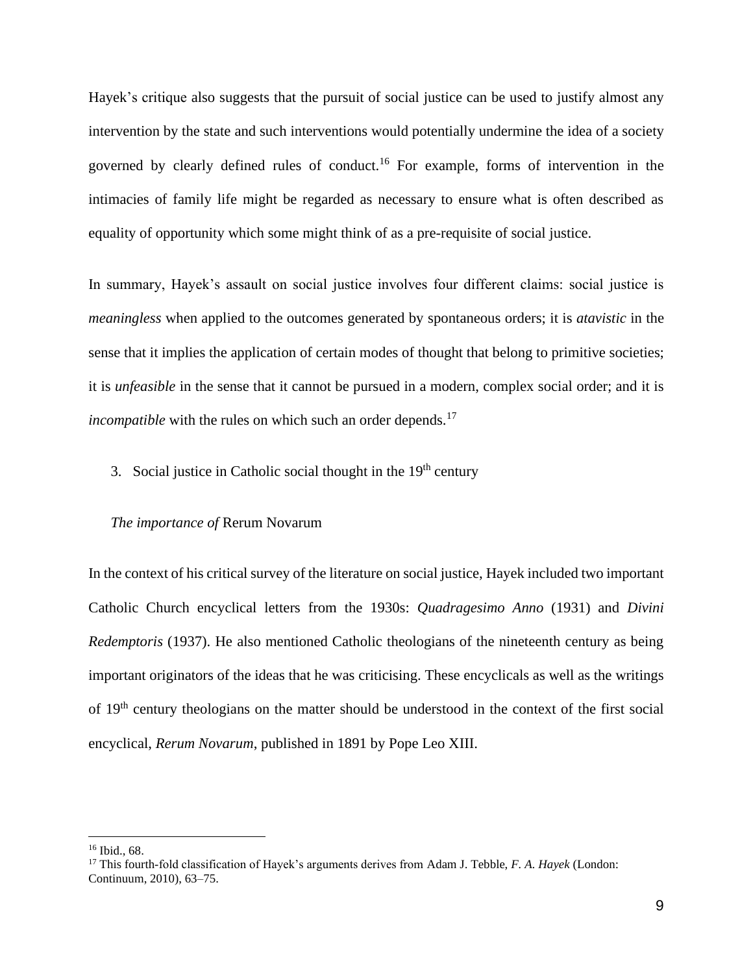Hayek's critique also suggests that the pursuit of social justice can be used to justify almost any intervention by the state and such interventions would potentially undermine the idea of a society governed by clearly defined rules of conduct.<sup>16</sup> For example, forms of intervention in the intimacies of family life might be regarded as necessary to ensure what is often described as equality of opportunity which some might think of as a pre-requisite of social justice.

In summary, Hayek's assault on social justice involves four different claims: social justice is *meaningless* when applied to the outcomes generated by spontaneous orders; it is *atavistic* in the sense that it implies the application of certain modes of thought that belong to primitive societies; it is *unfeasible* in the sense that it cannot be pursued in a modern, complex social order; and it is *incompatible* with the rules on which such an order depends.<sup>17</sup>

# 3. Social justice in Catholic social thought in the  $19<sup>th</sup>$  century

#### *The importance of* Rerum Novarum

In the context of his critical survey of the literature on social justice, Hayek included two important Catholic Church encyclical letters from the 1930s: *Quadragesimo Anno* (1931) and *Divini Redemptoris* (1937). He also mentioned Catholic theologians of the nineteenth century as being important originators of the ideas that he was criticising. These encyclicals as well as the writings of 19<sup>th</sup> century theologians on the matter should be understood in the context of the first social encyclical, *Rerum Novarum*, published in 1891 by Pope Leo XIII.

<sup>16</sup> Ibid., 68.

<sup>17</sup> This fourth-fold classification of Hayek's arguments derives from Adam J. Tebble, *F. A. Hayek* (London: Continuum, 2010), 63–75.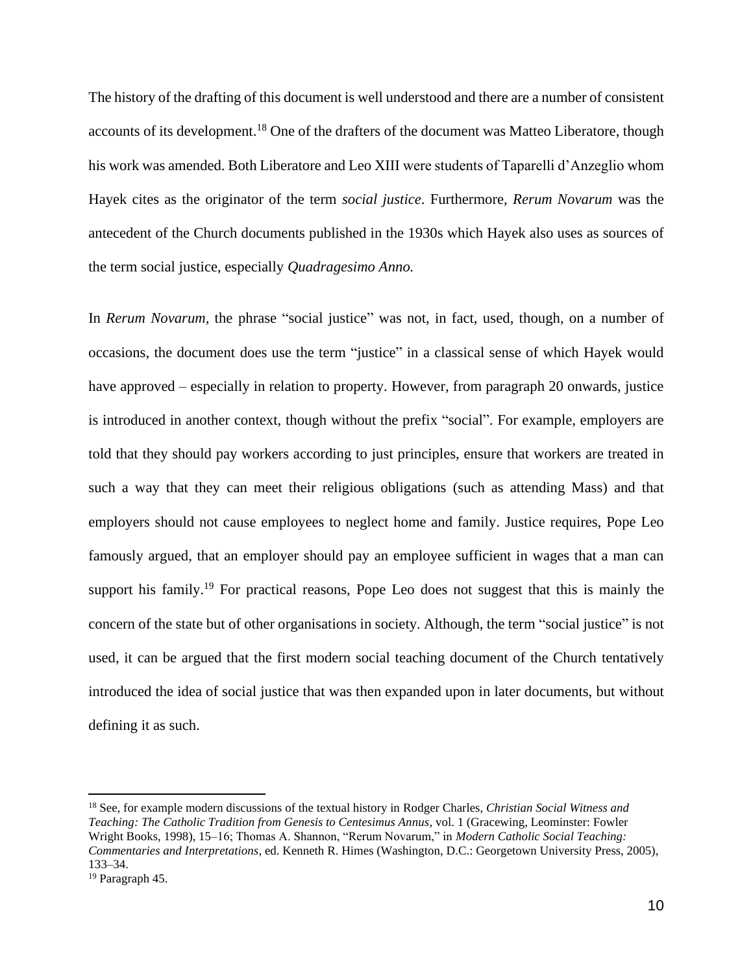The history of the drafting of this document is well understood and there are a number of consistent accounts of its development.<sup>18</sup> One of the drafters of the document was Matteo Liberatore, though his work was amended. Both Liberatore and Leo XIII were students of Taparelli d'Anzeglio whom Hayek cites as the originator of the term *social justice*. Furthermore, *Rerum Novarum* was the antecedent of the Church documents published in the 1930s which Hayek also uses as sources of the term social justice, especially *Quadragesimo Anno.*

In *Rerum Novarum,* the phrase "social justice" was not, in fact, used, though, on a number of occasions, the document does use the term "justice" in a classical sense of which Hayek would have approved – especially in relation to property. However, from paragraph 20 onwards, justice is introduced in another context, though without the prefix "social". For example, employers are told that they should pay workers according to just principles, ensure that workers are treated in such a way that they can meet their religious obligations (such as attending Mass) and that employers should not cause employees to neglect home and family. Justice requires, Pope Leo famously argued, that an employer should pay an employee sufficient in wages that a man can support his family.<sup>19</sup> For practical reasons, Pope Leo does not suggest that this is mainly the concern of the state but of other organisations in society. Although, the term "social justice" is not used, it can be argued that the first modern social teaching document of the Church tentatively introduced the idea of social justice that was then expanded upon in later documents, but without defining it as such.

<sup>18</sup> See, for example modern discussions of the textual history in Rodger Charles, *Christian Social Witness and Teaching: The Catholic Tradition from Genesis to Centesimus Annus*, vol. 1 (Gracewing, Leominster: Fowler Wright Books, 1998), 15–16; Thomas A. Shannon, "Rerum Novarum," in *Modern Catholic Social Teaching: Commentaries and Interpretations*, ed. Kenneth R. Himes (Washington, D.C.: Georgetown University Press, 2005), 133–34.

<sup>19</sup> Paragraph 45.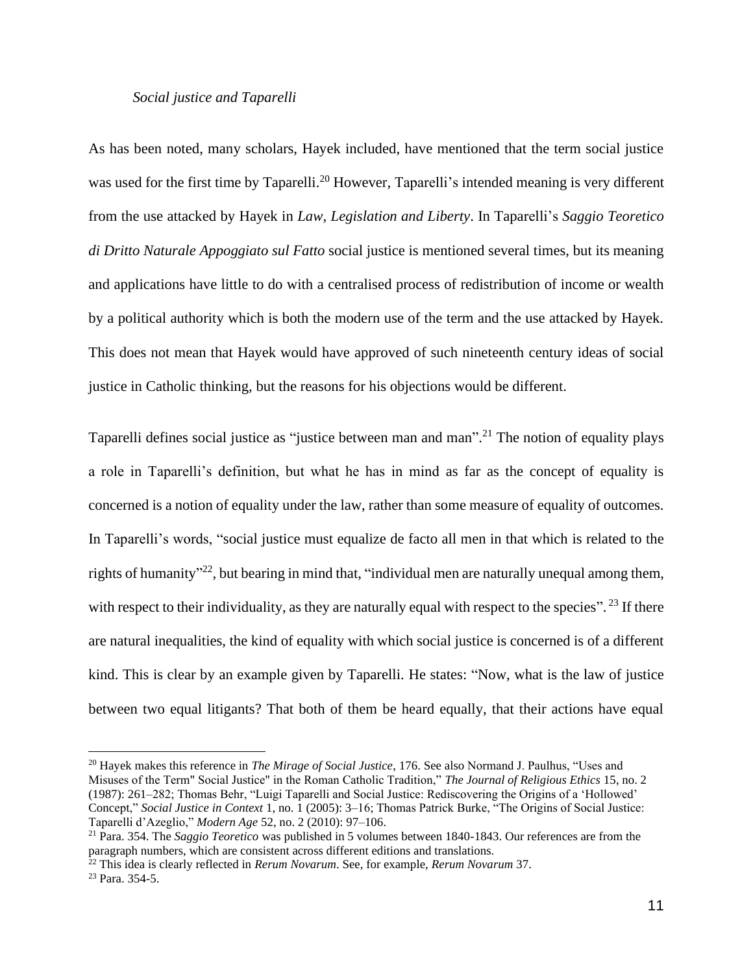### *Social justice and Taparelli*

As has been noted, many scholars, Hayek included, have mentioned that the term social justice was used for the first time by Taparelli.<sup>20</sup> However, Taparelli's intended meaning is very different from the use attacked by Hayek in *Law, Legislation and Liberty*. In Taparelli's *Saggio Teoretico di Dritto Naturale Appoggiato sul Fatto* social justice is mentioned several times, but its meaning and applications have little to do with a centralised process of redistribution of income or wealth by a political authority which is both the modern use of the term and the use attacked by Hayek. This does not mean that Hayek would have approved of such nineteenth century ideas of social justice in Catholic thinking, but the reasons for his objections would be different.

Taparelli defines social justice as "justice between man and man".<sup>21</sup> The notion of equality plays a role in Taparelli's definition, but what he has in mind as far as the concept of equality is concerned is a notion of equality under the law, rather than some measure of equality of outcomes. In Taparelli's words, "social justice must equalize de facto all men in that which is related to the rights of humanity<sup>32</sup>, but bearing in mind that, "individual men are naturally unequal among them, with respect to their individuality, as they are naturally equal with respect to the species". <sup>23</sup> If there are natural inequalities, the kind of equality with which social justice is concerned is of a different kind. This is clear by an example given by Taparelli. He states: "Now, what is the law of justice between two equal litigants? That both of them be heard equally, that their actions have equal

<sup>20</sup> Hayek makes this reference in *The Mirage of Social Justice*, 176. See also Normand J. Paulhus, "Uses and Misuses of the Term" Social Justice" in the Roman Catholic Tradition," *The Journal of Religious Ethics* 15, no. 2 (1987): 261–282; Thomas Behr, "Luigi Taparelli and Social Justice: Rediscovering the Origins of a 'Hollowed' Concept," *Social Justice in Context* 1, no. 1 (2005): 3–16; Thomas Patrick Burke, "The Origins of Social Justice: Taparelli d'Azeglio," *Modern Age* 52, no. 2 (2010): 97–106.

<sup>21</sup> Para. 354. The *Saggio Teoretico* was published in 5 volumes between 1840-1843. Our references are from the paragraph numbers, which are consistent across different editions and translations.

<sup>22</sup> This idea is clearly reflected in *Rerum Novarum*. See, for example, *Rerum Novarum* 37.

<sup>23</sup> Para. 354-5.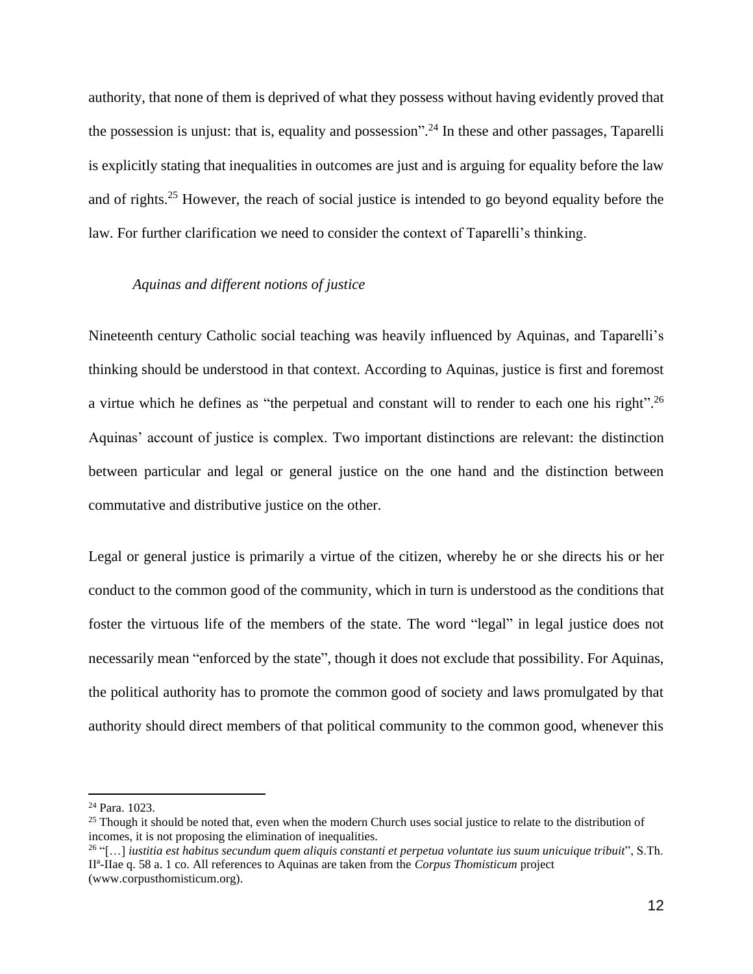authority, that none of them is deprived of what they possess without having evidently proved that the possession is unjust: that is, equality and possession".<sup>24</sup> In these and other passages, Taparelli is explicitly stating that inequalities in outcomes are just and is arguing for equality before the law and of rights.<sup>25</sup> However, the reach of social justice is intended to go beyond equality before the law. For further clarification we need to consider the context of Taparelli's thinking.

### *Aquinas and different notions of justice*

Nineteenth century Catholic social teaching was heavily influenced by Aquinas, and Taparelli's thinking should be understood in that context. According to Aquinas, justice is first and foremost a virtue which he defines as "the perpetual and constant will to render to each one his right".<sup>26</sup> Aquinas' account of justice is complex. Two important distinctions are relevant: the distinction between particular and legal or general justice on the one hand and the distinction between commutative and distributive justice on the other.

Legal or general justice is primarily a virtue of the citizen, whereby he or she directs his or her conduct to the common good of the community, which in turn is understood as the conditions that foster the virtuous life of the members of the state. The word "legal" in legal justice does not necessarily mean "enforced by the state", though it does not exclude that possibility. For Aquinas, the political authority has to promote the common good of society and laws promulgated by that authority should direct members of that political community to the common good, whenever this

<sup>24</sup> Para. 1023.

<sup>&</sup>lt;sup>25</sup> Though it should be noted that, even when the modern Church uses social justice to relate to the distribution of incomes, it is not proposing the elimination of inequalities.

<sup>26</sup> "[…] *iustitia est habitus secundum quem aliquis constanti et perpetua voluntate ius suum unicuique tribuit*", S.Th. IIª-IIae q. 58 a. 1 co. All references to Aquinas are taken from the *Corpus Thomisticum* project (www.corpusthomisticum.org).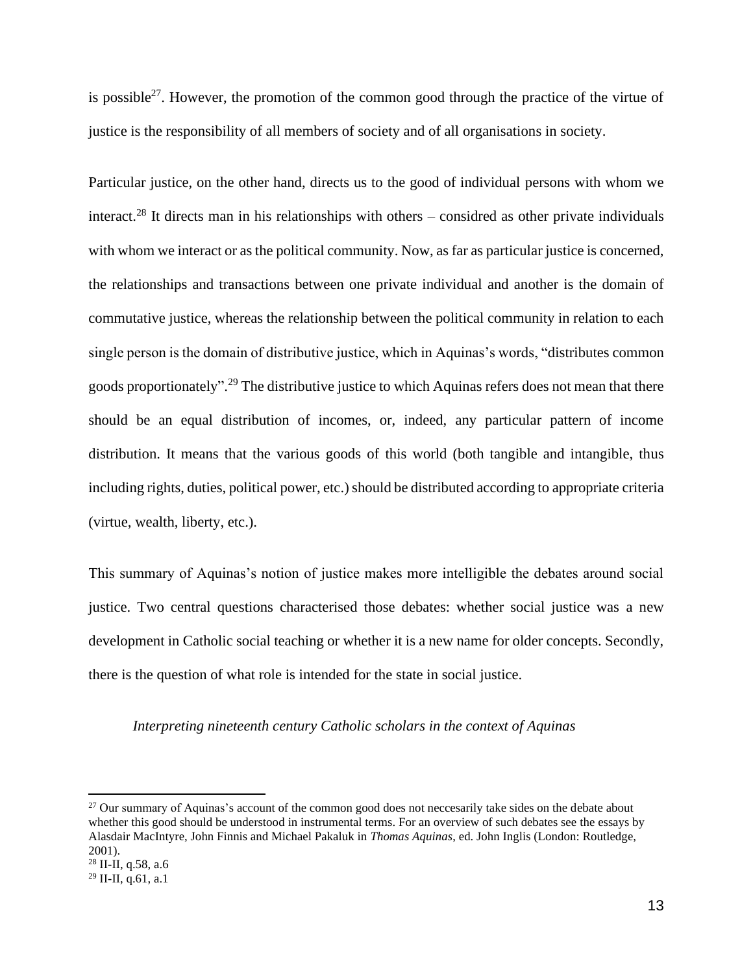is possible<sup>27</sup>. However, the promotion of the common good through the practice of the virtue of justice is the responsibility of all members of society and of all organisations in society.

Particular justice, on the other hand, directs us to the good of individual persons with whom we interact. <sup>28</sup> It directs man in his relationships with others – considred as other private individuals with whom we interact or as the political community. Now, as far as particular justice is concerned, the relationships and transactions between one private individual and another is the domain of commutative justice, whereas the relationship between the political community in relation to each single person is the domain of distributive justice, which in Aquinas's words, "distributes common goods proportionately".<sup>29</sup> The distributive justice to which Aquinas refers does not mean that there should be an equal distribution of incomes, or, indeed, any particular pattern of income distribution. It means that the various goods of this world (both tangible and intangible, thus including rights, duties, political power, etc.) should be distributed according to appropriate criteria (virtue, wealth, liberty, etc.).

This summary of Aquinas's notion of justice makes more intelligible the debates around social justice. Two central questions characterised those debates: whether social justice was a new development in Catholic social teaching or whether it is a new name for older concepts. Secondly, there is the question of what role is intended for the state in social justice.

*Interpreting nineteenth century Catholic scholars in the context of Aquinas*

<sup>&</sup>lt;sup>27</sup> Our summary of Aquinas's account of the common good does not neccesarily take sides on the debate about whether this good should be understood in instrumental terms. For an overview of such debates see the essays by Alasdair MacIntyre, John Finnis and Michael Pakaluk in *Thomas Aquinas*, ed. John Inglis (London: Routledge, 2001).

<sup>28</sup> II-II, q.58, a.6

 $^{29}$  II-II, q.61, a.1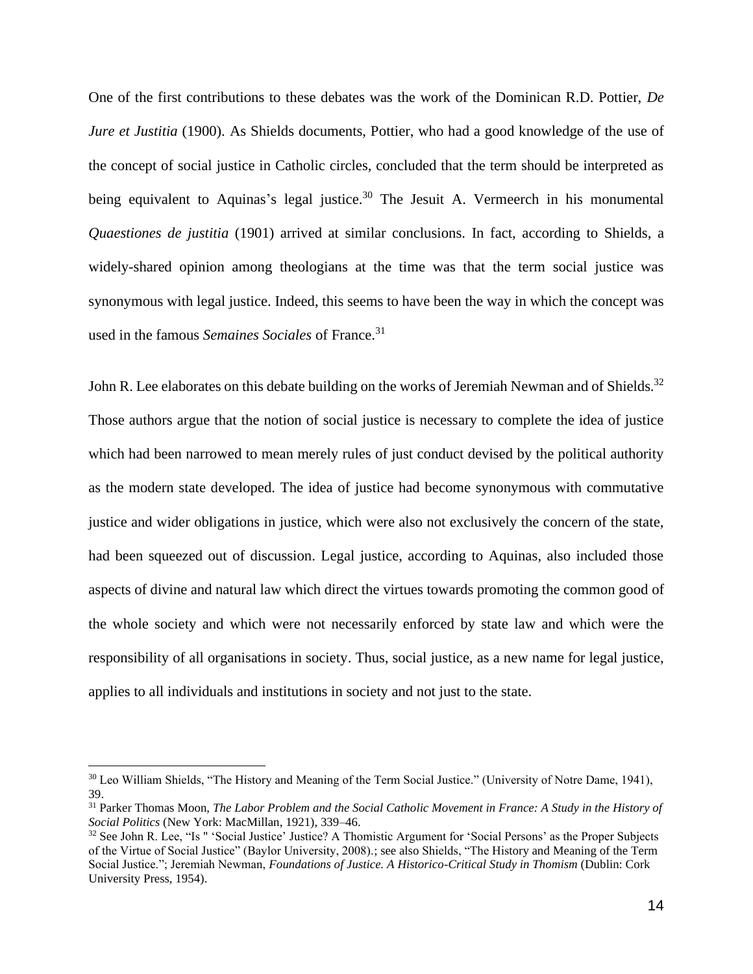One of the first contributions to these debates was the work of the Dominican R.D. Pottier, *De Jure et Justitia* (1900). As Shields documents, Pottier, who had a good knowledge of the use of the concept of social justice in Catholic circles, concluded that the term should be interpreted as being equivalent to Aquinas's legal justice.<sup>30</sup> The Jesuit A. Vermeerch in his monumental *Quaestiones de justitia* (1901) arrived at similar conclusions. In fact, according to Shields, a widely-shared opinion among theologians at the time was that the term social justice was synonymous with legal justice. Indeed, this seems to have been the way in which the concept was used in the famous *Semaines Sociales* of France. 31

John R. Lee elaborates on this debate building on the works of Jeremiah Newman and of Shields.<sup>32</sup> Those authors argue that the notion of social justice is necessary to complete the idea of justice which had been narrowed to mean merely rules of just conduct devised by the political authority as the modern state developed. The idea of justice had become synonymous with commutative justice and wider obligations in justice, which were also not exclusively the concern of the state, had been squeezed out of discussion. Legal justice, according to Aquinas, also included those aspects of divine and natural law which direct the virtues towards promoting the common good of the whole society and which were not necessarily enforced by state law and which were the responsibility of all organisations in society. Thus, social justice, as a new name for legal justice, applies to all individuals and institutions in society and not just to the state.

<sup>&</sup>lt;sup>30</sup> Leo William Shields, "The History and Meaning of the Term Social Justice." (University of Notre Dame, 1941), 39.

<sup>31</sup> Parker Thomas Moon, *The Labor Problem and the Social Catholic Movement in France: A Study in the History of Social Politics* (New York: MacMillan, 1921), 339–46.

<sup>&</sup>lt;sup>32</sup> See John R. Lee, "Is " 'Social Justice' Justice? A Thomistic Argument for 'Social Persons' as the Proper Subjects of the Virtue of Social Justice" (Baylor University, 2008).; see also Shields, "The History and Meaning of the Term Social Justice."; Jeremiah Newman, *Foundations of Justice. A Historico-Critical Study in Thomism* (Dublin: Cork University Press, 1954).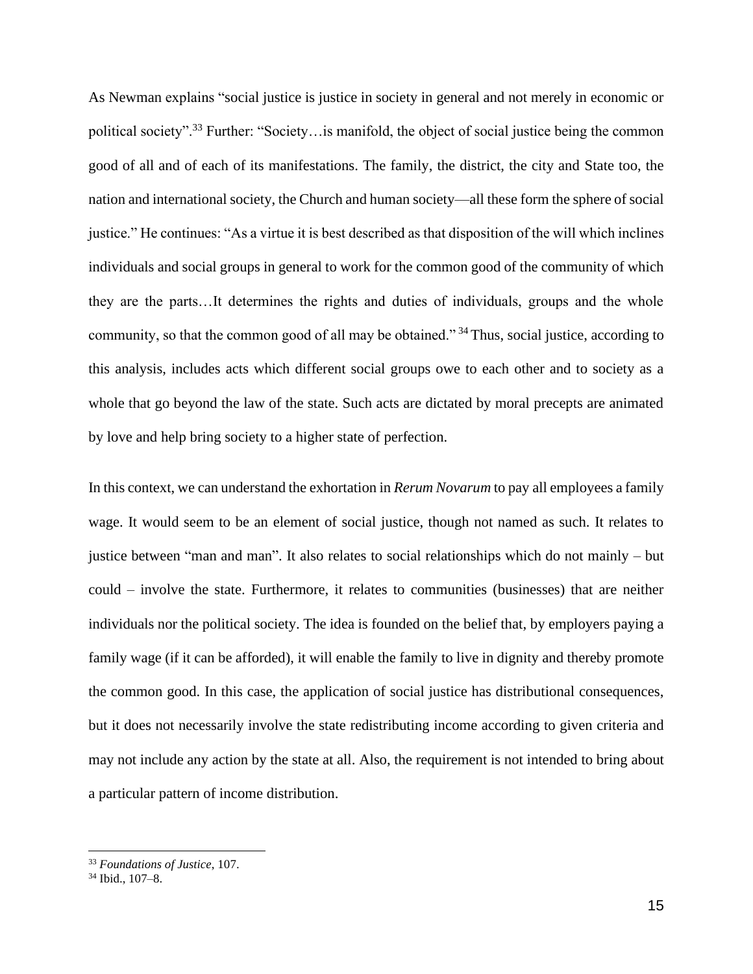As Newman explains "social justice is justice in society in general and not merely in economic or political society".<sup>33</sup> Further: "Society... is manifold, the object of social justice being the common good of all and of each of its manifestations. The family, the district, the city and State too, the nation and international society, the Church and human society—all these form the sphere of social justice." He continues: "As a virtue it is best described as that disposition of the will which inclines individuals and social groups in general to work for the common good of the community of which they are the parts…It determines the rights and duties of individuals, groups and the whole community, so that the common good of all may be obtained." <sup>34</sup> Thus, social justice, according to this analysis, includes acts which different social groups owe to each other and to society as a whole that go beyond the law of the state. Such acts are dictated by moral precepts are animated by love and help bring society to a higher state of perfection.

In this context, we can understand the exhortation in *Rerum Novarum* to pay all employees a family wage. It would seem to be an element of social justice, though not named as such. It relates to justice between "man and man". It also relates to social relationships which do not mainly – but could – involve the state. Furthermore, it relates to communities (businesses) that are neither individuals nor the political society. The idea is founded on the belief that, by employers paying a family wage (if it can be afforded), it will enable the family to live in dignity and thereby promote the common good. In this case, the application of social justice has distributional consequences, but it does not necessarily involve the state redistributing income according to given criteria and may not include any action by the state at all. Also, the requirement is not intended to bring about a particular pattern of income distribution.

<sup>33</sup> *Foundations of Justice*, 107.

<sup>34</sup> Ibid., 107–8.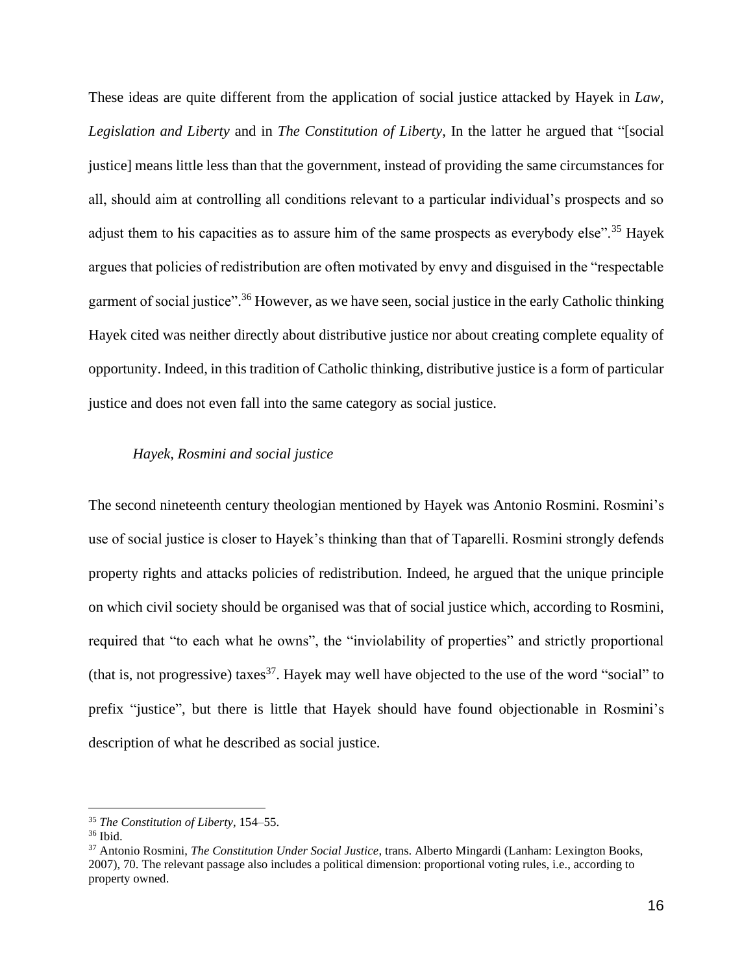These ideas are quite different from the application of social justice attacked by Hayek in *Law, Legislation and Liberty* and in *The Constitution of Liberty*, In the latter he argued that "[social justice] means little less than that the government, instead of providing the same circumstances for all, should aim at controlling all conditions relevant to a particular individual's prospects and so adjust them to his capacities as to assure him of the same prospects as everybody else".<sup>35</sup> Hayek argues that policies of redistribution are often motivated by envy and disguised in the "respectable garment of social justice".<sup>36</sup> However, as we have seen, social justice in the early Catholic thinking Hayek cited was neither directly about distributive justice nor about creating complete equality of opportunity. Indeed, in this tradition of Catholic thinking, distributive justice is a form of particular justice and does not even fall into the same category as social justice.

### *Hayek, Rosmini and social justice*

The second nineteenth century theologian mentioned by Hayek was Antonio Rosmini. Rosmini's use of social justice is closer to Hayek's thinking than that of Taparelli. Rosmini strongly defends property rights and attacks policies of redistribution. Indeed, he argued that the unique principle on which civil society should be organised was that of social justice which, according to Rosmini, required that "to each what he owns", the "inviolability of properties" and strictly proportional (that is, not progressive) taxes<sup>37</sup>. Hayek may well have objected to the use of the word "social" to prefix "justice", but there is little that Hayek should have found objectionable in Rosmini's description of what he described as social justice.

<sup>35</sup> *The Constitution of Liberty*, 154–55.

 $36$  Ibid.

<sup>37</sup> Antonio Rosmini, *The Constitution Under Social Justice*, trans. Alberto Mingardi (Lanham: Lexington Books, 2007), 70. The relevant passage also includes a political dimension: proportional voting rules, i.e., according to property owned.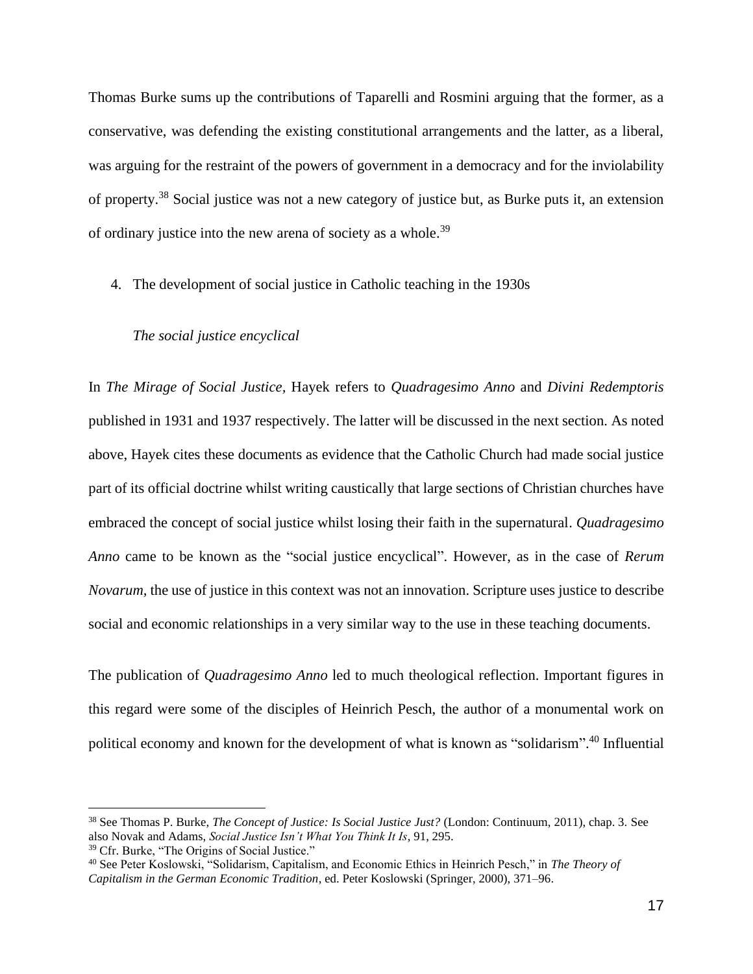Thomas Burke sums up the contributions of Taparelli and Rosmini arguing that the former, as a conservative, was defending the existing constitutional arrangements and the latter, as a liberal, was arguing for the restraint of the powers of government in a democracy and for the inviolability of property.<sup>38</sup> Social justice was not a new category of justice but, as Burke puts it, an extension of ordinary justice into the new arena of society as a whole.<sup>39</sup>

# 4. The development of social justice in Catholic teaching in the 1930s

#### *The social justice encyclical*

In *The Mirage of Social Justice,* Hayek refers to *Quadragesimo Anno* and *Divini Redemptoris* published in 1931 and 1937 respectively. The latter will be discussed in the next section. As noted above, Hayek cites these documents as evidence that the Catholic Church had made social justice part of its official doctrine whilst writing caustically that large sections of Christian churches have embraced the concept of social justice whilst losing their faith in the supernatural. *Quadragesimo Anno* came to be known as the "social justice encyclical". However, as in the case of *Rerum Novarum,* the use of justice in this context was not an innovation. Scripture uses justice to describe social and economic relationships in a very similar way to the use in these teaching documents.

The publication of *Quadragesimo Anno* led to much theological reflection. Important figures in this regard were some of the disciples of Heinrich Pesch, the author of a monumental work on political economy and known for the development of what is known as "solidarism". <sup>40</sup> Influential

<sup>38</sup> See Thomas P. Burke, *The Concept of Justice: Is Social Justice Just?* (London: Continuum, 2011), chap. 3. See also Novak and Adams, *Social Justice Isn't What You Think It Is*, 91, 295.

<sup>39</sup> Cfr. Burke, "The Origins of Social Justice."

<sup>40</sup> See Peter Koslowski, "Solidarism, Capitalism, and Economic Ethics in Heinrich Pesch," in *The Theory of Capitalism in the German Economic Tradition*, ed. Peter Koslowski (Springer, 2000), 371–96.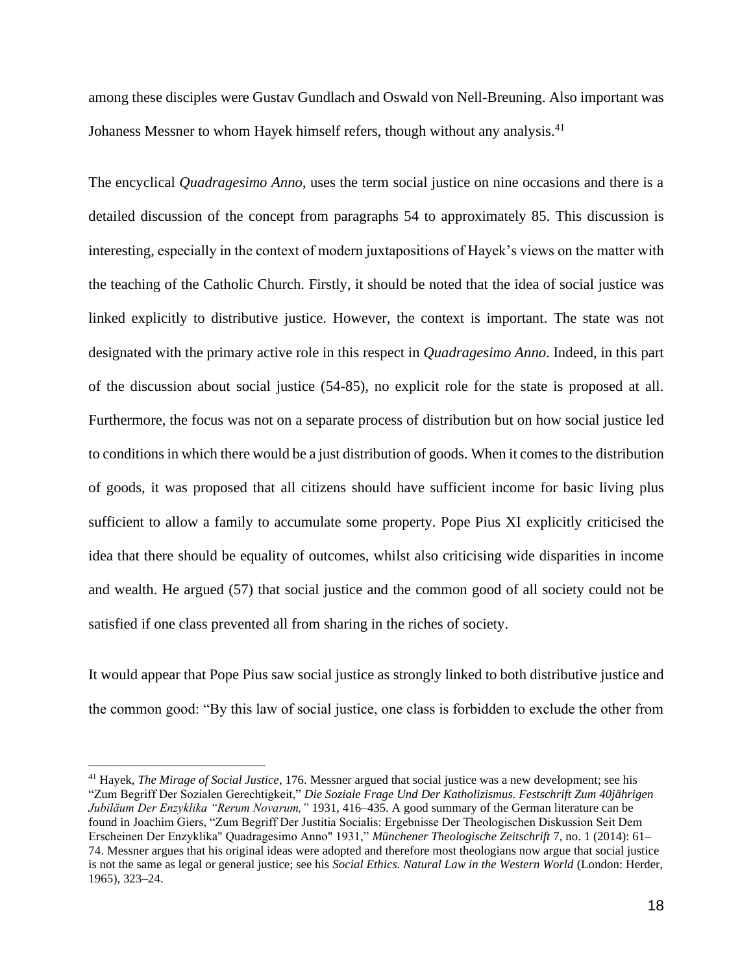among these disciples were Gustav Gundlach and Oswald von Nell-Breuning. Also important was Johaness Messner to whom Hayek himself refers, though without any analysis.<sup>41</sup>

The encyclical *Quadragesimo Anno*, uses the term social justice on nine occasions and there is a detailed discussion of the concept from paragraphs 54 to approximately 85. This discussion is interesting, especially in the context of modern juxtapositions of Hayek's views on the matter with the teaching of the Catholic Church. Firstly, it should be noted that the idea of social justice was linked explicitly to distributive justice. However, the context is important. The state was not designated with the primary active role in this respect in *Quadragesimo Anno*. Indeed, in this part of the discussion about social justice (54-85), no explicit role for the state is proposed at all. Furthermore, the focus was not on a separate process of distribution but on how social justice led to conditions in which there would be a just distribution of goods. When it comesto the distribution of goods, it was proposed that all citizens should have sufficient income for basic living plus sufficient to allow a family to accumulate some property. Pope Pius XI explicitly criticised the idea that there should be equality of outcomes, whilst also criticising wide disparities in income and wealth. He argued (57) that social justice and the common good of all society could not be satisfied if one class prevented all from sharing in the riches of society.

It would appear that Pope Pius saw social justice as strongly linked to both distributive justice and the common good: "By this law of social justice, one class is forbidden to exclude the other from

<sup>41</sup> Hayek, *The Mirage of Social Justice*, 176. Messner argued that social justice was a new development; see his "Zum Begriff Der Sozialen Gerechtigkeit," *Die Soziale Frage Und Der Katholizismus. Festschrift Zum 40jährigen Jubiläum Der Enzyklika "Rerum Novarum,"* 1931, 416–435. A good summary of the German literature can be found in Joachim Giers, "Zum Begriff Der Justitia Socialis: Ergebnisse Der Theologischen Diskussion Seit Dem Erscheinen Der Enzyklika" Quadragesimo Anno" 1931," *Münchener Theologische Zeitschrift* 7, no. 1 (2014): 61– 74. Messner argues that his original ideas were adopted and therefore most theologians now argue that social justice is not the same as legal or general justice; see his *Social Ethics. Natural Law in the Western World* (London: Herder, 1965), 323–24.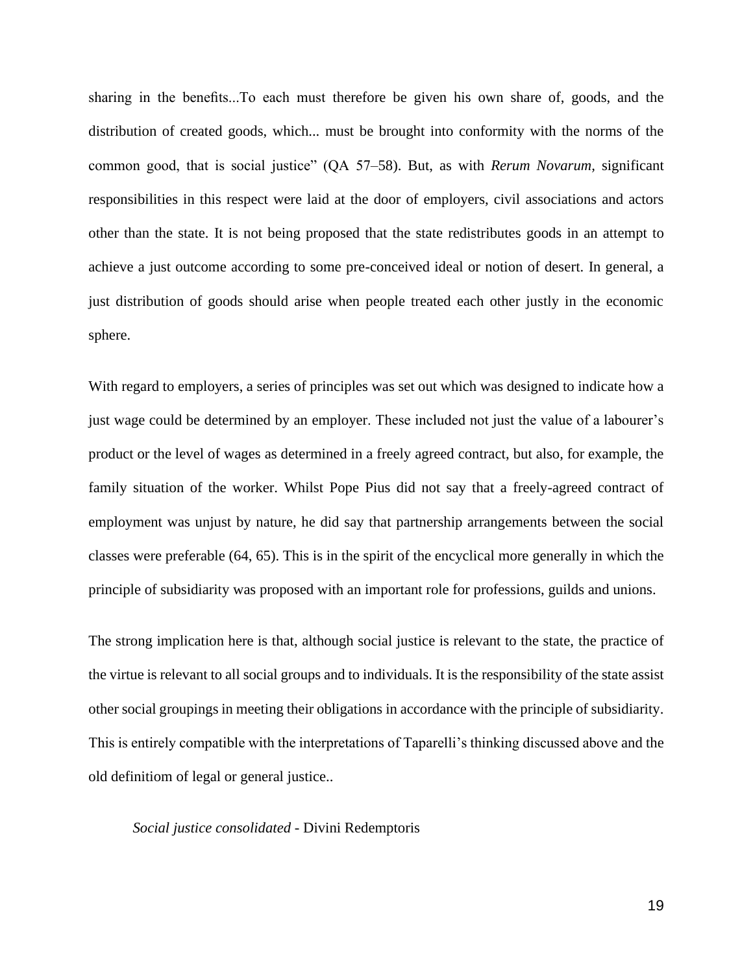sharing in the benefits...To each must therefore be given his own share of, goods, and the distribution of created goods, which... must be brought into conformity with the norms of the common good, that is social justice" (QA 57–58). But, as with *Rerum Novarum,* significant responsibilities in this respect were laid at the door of employers, civil associations and actors other than the state. It is not being proposed that the state redistributes goods in an attempt to achieve a just outcome according to some pre-conceived ideal or notion of desert. In general, a just distribution of goods should arise when people treated each other justly in the economic sphere.

With regard to employers, a series of principles was set out which was designed to indicate how a just wage could be determined by an employer. These included not just the value of a labourer's product or the level of wages as determined in a freely agreed contract, but also, for example, the family situation of the worker. Whilst Pope Pius did not say that a freely-agreed contract of employment was unjust by nature, he did say that partnership arrangements between the social classes were preferable (64, 65). This is in the spirit of the encyclical more generally in which the principle of subsidiarity was proposed with an important role for professions, guilds and unions.

The strong implication here is that, although social justice is relevant to the state, the practice of the virtue is relevant to all social groups and to individuals. It is the responsibility of the state assist other social groupings in meeting their obligations in accordance with the principle of subsidiarity. This is entirely compatible with the interpretations of Taparelli's thinking discussed above and the old definitiom of legal or general justice..

#### *Social justice consolidated -* Divini Redemptoris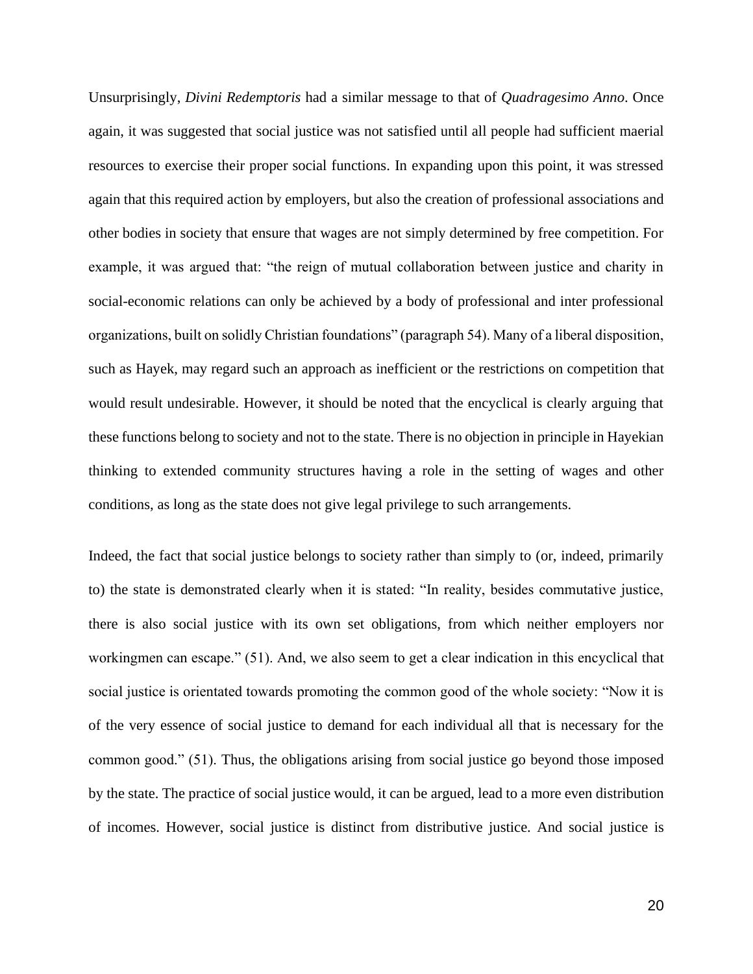Unsurprisingly, *Divini Redemptoris* had a similar message to that of *Quadragesimo Anno*. Once again, it was suggested that social justice was not satisfied until all people had sufficient maerial resources to exercise their proper social functions. In expanding upon this point, it was stressed again that this required action by employers, but also the creation of professional associations and other bodies in society that ensure that wages are not simply determined by free competition. For example, it was argued that: "the reign of mutual collaboration between justice and charity in social-economic relations can only be achieved by a body of professional and inter professional organizations, built on solidly Christian foundations" (paragraph 54). Many of a liberal disposition, such as Hayek, may regard such an approach as inefficient or the restrictions on competition that would result undesirable. However, it should be noted that the encyclical is clearly arguing that these functions belong to society and not to the state. There is no objection in principle in Hayekian thinking to extended community structures having a role in the setting of wages and other conditions, as long as the state does not give legal privilege to such arrangements.

Indeed, the fact that social justice belongs to society rather than simply to (or, indeed, primarily to) the state is demonstrated clearly when it is stated: "In reality, besides commutative justice, there is also social justice with its own set obligations, from which neither employers nor workingmen can escape." (51). And, we also seem to get a clear indication in this encyclical that social justice is orientated towards promoting the common good of the whole society: "Now it is of the very essence of social justice to demand for each individual all that is necessary for the common good." (51). Thus, the obligations arising from social justice go beyond those imposed by the state. The practice of social justice would, it can be argued, lead to a more even distribution of incomes. However, social justice is distinct from distributive justice. And social justice is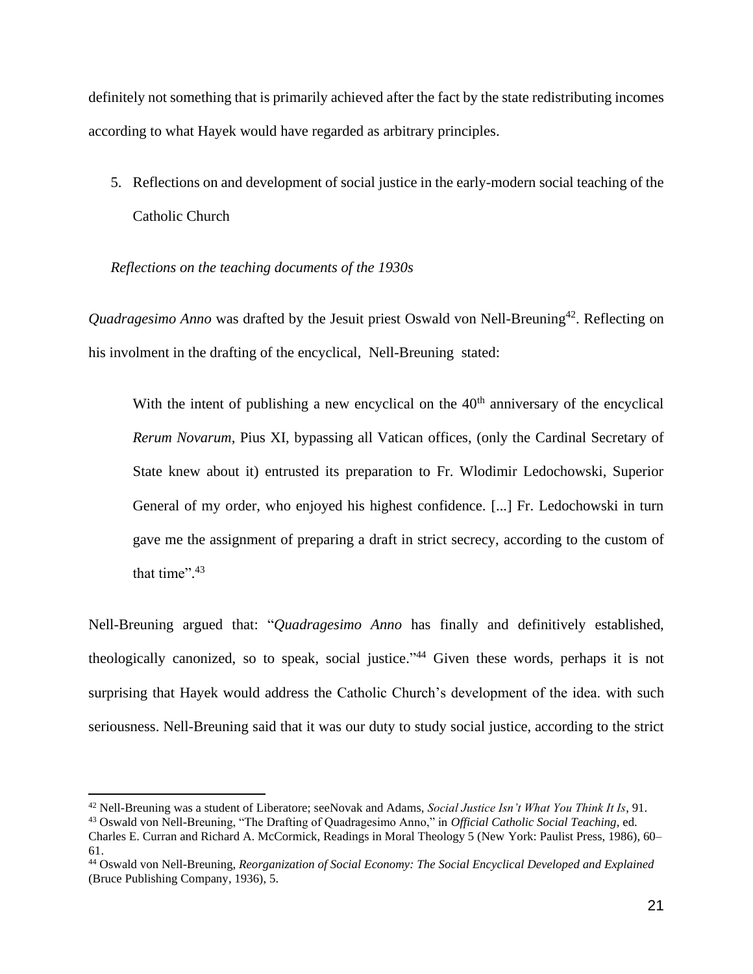definitely not something that is primarily achieved after the fact by the state redistributing incomes according to what Hayek would have regarded as arbitrary principles.

5. Reflections on and development of social justice in the early-modern social teaching of the Catholic Church

## *Reflections on the teaching documents of the 1930s*

*Quadragesimo Anno* was drafted by the Jesuit priest Oswald von Nell-Breuning<sup>42</sup>. Reflecting on his involment in the drafting of the encyclical, Nell-Breuning stated:

With the intent of publishing a new encyclical on the  $40<sup>th</sup>$  anniversary of the encyclical *Rerum Novarum*, Pius XI, bypassing all Vatican offices, (only the Cardinal Secretary of State knew about it) entrusted its preparation to Fr. Wlodimir Ledochowski, Superior General of my order, who enjoyed his highest confidence. [...] Fr. Ledochowski in turn gave me the assignment of preparing a draft in strict secrecy, according to the custom of that time".<sup>43</sup>

Nell-Breuning argued that: "*Quadragesimo Anno* has finally and definitively established, theologically canonized, so to speak, social justice."<sup>44</sup> Given these words, perhaps it is not surprising that Hayek would address the Catholic Church's development of the idea. with such seriousness. Nell-Breuning said that it was our duty to study social justice, according to the strict

<sup>42</sup> Nell-Breuning was a student of Liberatore; seeNovak and Adams, *Social Justice Isn't What You Think It Is*, 91.

<sup>43</sup> Oswald von Nell-Breuning, "The Drafting of Quadragesimo Anno," in *Official Catholic Social Teaching*, ed.

Charles E. Curran and Richard A. McCormick, Readings in Moral Theology 5 (New York: Paulist Press, 1986), 60– 61.

<sup>44</sup> Oswald von Nell-Breuning, *Reorganization of Social Economy: The Social Encyclical Developed and Explained* (Bruce Publishing Company, 1936), 5.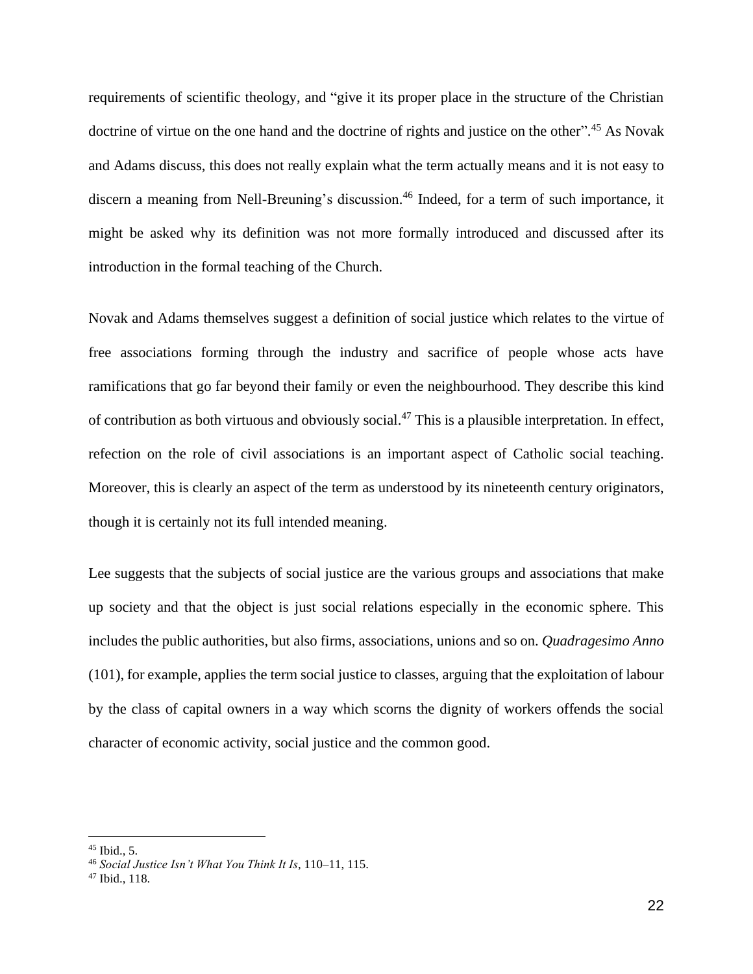requirements of scientific theology, and "give it its proper place in the structure of the Christian doctrine of virtue on the one hand and the doctrine of rights and justice on the other".<sup>45</sup> As Novak and Adams discuss, this does not really explain what the term actually means and it is not easy to discern a meaning from Nell-Breuning's discussion. <sup>46</sup> Indeed, for a term of such importance, it might be asked why its definition was not more formally introduced and discussed after its introduction in the formal teaching of the Church.

Novak and Adams themselves suggest a definition of social justice which relates to the virtue of free associations forming through the industry and sacrifice of people whose acts have ramifications that go far beyond their family or even the neighbourhood. They describe this kind of contribution as both virtuous and obviously social. <sup>47</sup> This is a plausible interpretation. In effect, refection on the role of civil associations is an important aspect of Catholic social teaching. Moreover, this is clearly an aspect of the term as understood by its nineteenth century originators, though it is certainly not its full intended meaning.

Lee suggests that the subjects of social justice are the various groups and associations that make up society and that the object is just social relations especially in the economic sphere. This includes the public authorities, but also firms, associations, unions and so on. *Quadragesimo Anno* (101), for example, applies the term social justice to classes, arguing that the exploitation of labour by the class of capital owners in a way which scorns the dignity of workers offends the social character of economic activity, social justice and the common good.

<sup>45</sup> Ibid., 5.

<sup>46</sup> *Social Justice Isn't What You Think It Is*, 110–11, 115.

<sup>47</sup> Ibid., 118.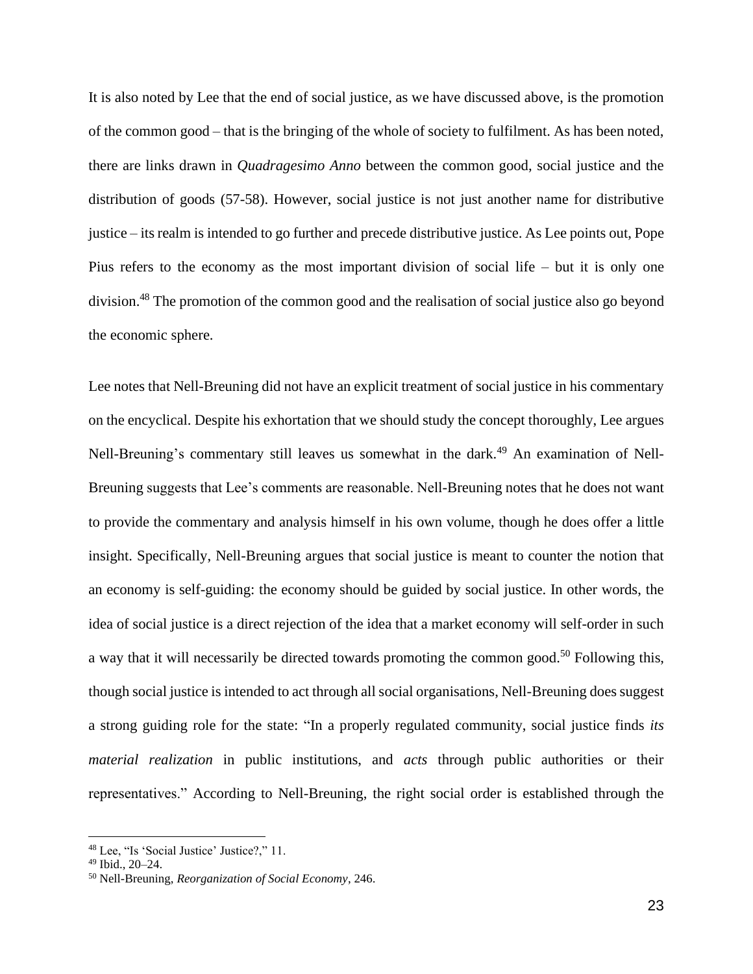It is also noted by Lee that the end of social justice, as we have discussed above, is the promotion of the common good – that is the bringing of the whole of society to fulfilment. As has been noted, there are links drawn in *Quadragesimo Anno* between the common good, social justice and the distribution of goods (57-58). However, social justice is not just another name for distributive justice – its realm is intended to go further and precede distributive justice. As Lee points out, Pope Pius refers to the economy as the most important division of social life – but it is only one division.<sup>48</sup> The promotion of the common good and the realisation of social justice also go beyond the economic sphere.

Lee notes that Nell-Breuning did not have an explicit treatment of social justice in his commentary on the encyclical. Despite his exhortation that we should study the concept thoroughly, Lee argues Nell-Breuning's commentary still leaves us somewhat in the dark.<sup>49</sup> An examination of Nell-Breuning suggests that Lee's comments are reasonable. Nell-Breuning notes that he does not want to provide the commentary and analysis himself in his own volume, though he does offer a little insight. Specifically, Nell-Breuning argues that social justice is meant to counter the notion that an economy is self-guiding: the economy should be guided by social justice. In other words, the idea of social justice is a direct rejection of the idea that a market economy will self-order in such a way that it will necessarily be directed towards promoting the common good.<sup>50</sup> Following this, though social justice is intended to act through all social organisations, Nell-Breuning does suggest a strong guiding role for the state: "In a properly regulated community, social justice finds *its material realization* in public institutions, and *acts* through public authorities or their representatives." According to Nell-Breuning, the right social order is established through the

<sup>48</sup> Lee, "Is 'Social Justice' Justice?," 11.

<sup>49</sup> Ibid., 20–24.

<sup>50</sup> Nell-Breuning, *Reorganization of Social Economy*, 246.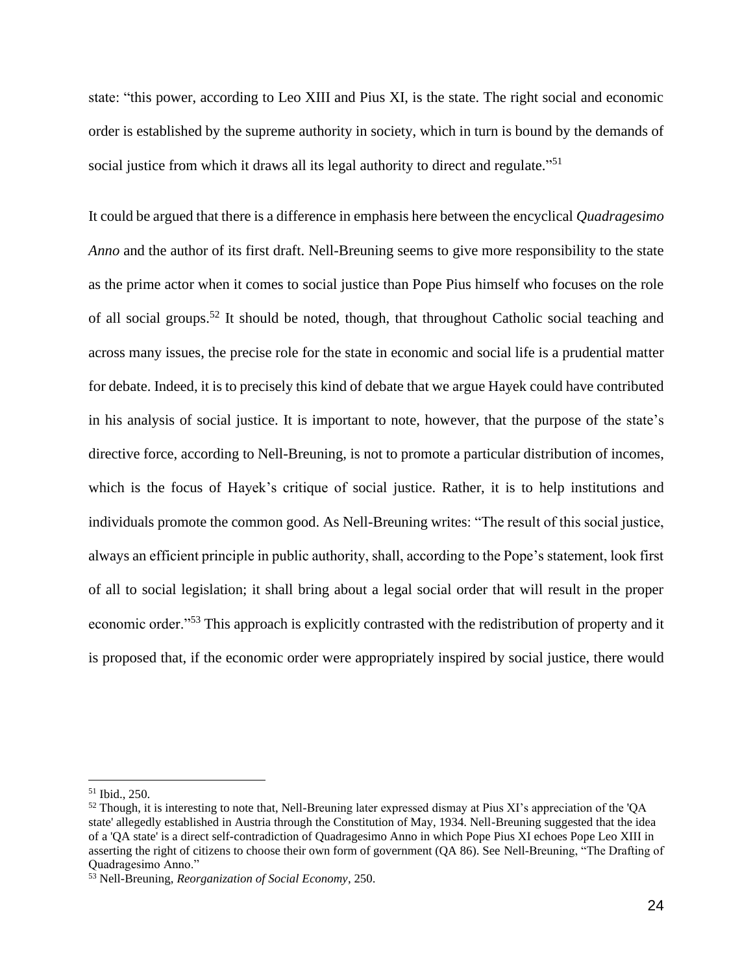state: "this power, according to Leo XIII and Pius XI, is the state. The right social and economic order is established by the supreme authority in society, which in turn is bound by the demands of social justice from which it draws all its legal authority to direct and regulate."<sup>51</sup>

It could be argued that there is a difference in emphasis here between the encyclical *Quadragesimo Anno* and the author of its first draft. Nell-Breuning seems to give more responsibility to the state as the prime actor when it comes to social justice than Pope Pius himself who focuses on the role of all social groups.<sup>52</sup> It should be noted, though, that throughout Catholic social teaching and across many issues, the precise role for the state in economic and social life is a prudential matter for debate. Indeed, it is to precisely this kind of debate that we argue Hayek could have contributed in his analysis of social justice. It is important to note, however, that the purpose of the state's directive force, according to Nell-Breuning, is not to promote a particular distribution of incomes, which is the focus of Hayek's critique of social justice. Rather, it is to help institutions and individuals promote the common good. As Nell-Breuning writes: "The result of this social justice, always an efficient principle in public authority, shall, according to the Pope's statement, look first of all to social legislation; it shall bring about a legal social order that will result in the proper economic order."<sup>53</sup> This approach is explicitly contrasted with the redistribution of property and it is proposed that, if the economic order were appropriately inspired by social justice, there would

<sup>51</sup> Ibid., 250.

 $52$  Though, it is interesting to note that, Nell-Breuning later expressed dismay at Pius XI's appreciation of the 'QA state' allegedly established in Austria through the Constitution of May, 1934. Nell-Breuning suggested that the idea of a 'QA state' is a direct self-contradiction of Quadragesimo Anno in which Pope Pius XI echoes Pope Leo XIII in asserting the right of citizens to choose their own form of government (QA 86). See Nell-Breuning, "The Drafting of Quadragesimo Anno."

<sup>53</sup> Nell-Breuning, *Reorganization of Social Economy*, 250.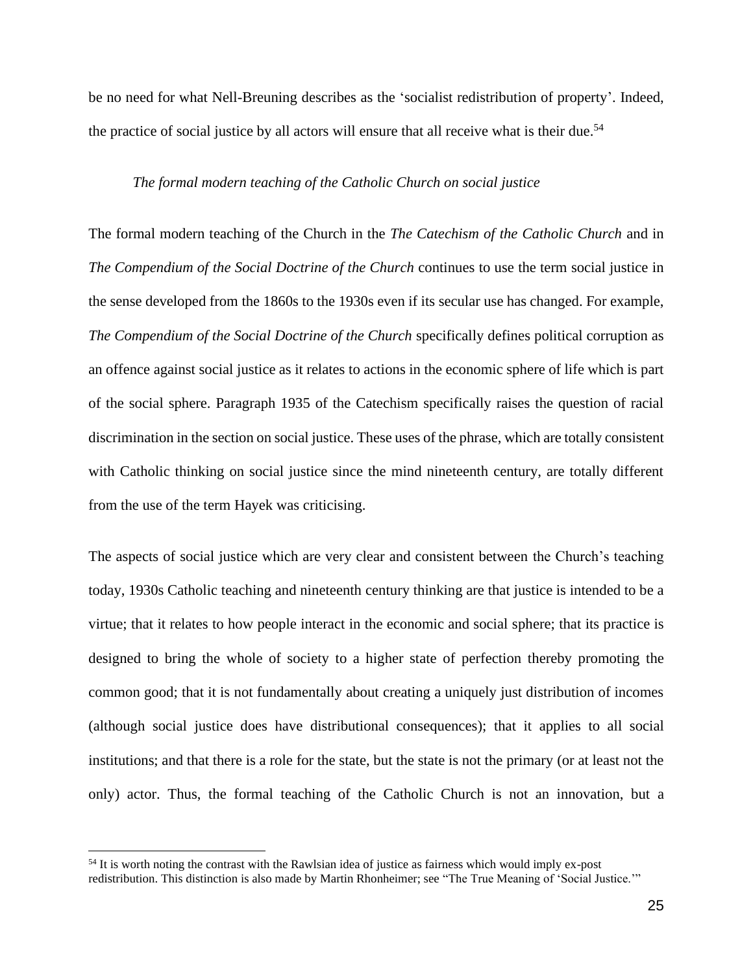be no need for what Nell-Breuning describes as the 'socialist redistribution of property'. Indeed, the practice of social justice by all actors will ensure that all receive what is their due.<sup>54</sup>

#### *The formal modern teaching of the Catholic Church on social justice*

The formal modern teaching of the Church in the *The Catechism of the Catholic Church* and in *The Compendium of the Social Doctrine of the Church* continues to use the term social justice in the sense developed from the 1860s to the 1930s even if its secular use has changed. For example, *The Compendium of the Social Doctrine of the Church* specifically defines political corruption as an offence against social justice as it relates to actions in the economic sphere of life which is part of the social sphere. Paragraph 1935 of the Catechism specifically raises the question of racial discrimination in the section on social justice. These uses of the phrase, which are totally consistent with Catholic thinking on social justice since the mind nineteenth century, are totally different from the use of the term Hayek was criticising.

The aspects of social justice which are very clear and consistent between the Church's teaching today, 1930s Catholic teaching and nineteenth century thinking are that justice is intended to be a virtue; that it relates to how people interact in the economic and social sphere; that its practice is designed to bring the whole of society to a higher state of perfection thereby promoting the common good; that it is not fundamentally about creating a uniquely just distribution of incomes (although social justice does have distributional consequences); that it applies to all social institutions; and that there is a role for the state, but the state is not the primary (or at least not the only) actor. Thus, the formal teaching of the Catholic Church is not an innovation, but a

<sup>&</sup>lt;sup>54</sup> It is worth noting the contrast with the Rawlsian idea of justice as fairness which would imply ex-post redistribution. This distinction is also made by Martin Rhonheimer; see "The True Meaning of 'Social Justice.'"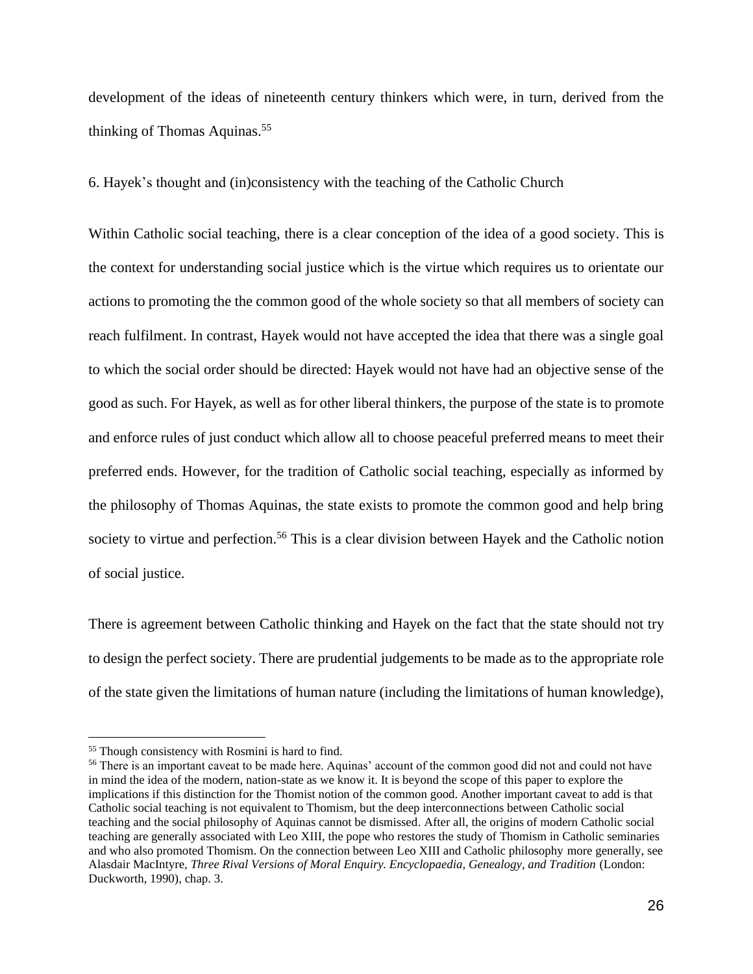development of the ideas of nineteenth century thinkers which were, in turn, derived from the thinking of Thomas Aquinas. 55

6. Hayek's thought and (in)consistency with the teaching of the Catholic Church

Within Catholic social teaching, there is a clear conception of the idea of a good society. This is the context for understanding social justice which is the virtue which requires us to orientate our actions to promoting the the common good of the whole society so that all members of society can reach fulfilment. In contrast, Hayek would not have accepted the idea that there was a single goal to which the social order should be directed: Hayek would not have had an objective sense of the good as such. For Hayek, as well as for other liberal thinkers, the purpose of the state is to promote and enforce rules of just conduct which allow all to choose peaceful preferred means to meet their preferred ends. However, for the tradition of Catholic social teaching, especially as informed by the philosophy of Thomas Aquinas, the state exists to promote the common good and help bring society to virtue and perfection.<sup>56</sup> This is a clear division between Hayek and the Catholic notion of social justice.

There is agreement between Catholic thinking and Hayek on the fact that the state should not try to design the perfect society. There are prudential judgements to be made as to the appropriate role of the state given the limitations of human nature (including the limitations of human knowledge),

<sup>55</sup> Though consistency with Rosmini is hard to find.

<sup>&</sup>lt;sup>56</sup> There is an important caveat to be made here. Aquinas' account of the common good did not and could not have in mind the idea of the modern, nation-state as we know it. It is beyond the scope of this paper to explore the implications if this distinction for the Thomist notion of the common good. Another important caveat to add is that Catholic social teaching is not equivalent to Thomism, but the deep interconnections between Catholic social teaching and the social philosophy of Aquinas cannot be dismissed. After all, the origins of modern Catholic social teaching are generally associated with Leo XIII, the pope who restores the study of Thomism in Catholic seminaries and who also promoted Thomism. On the connection between Leo XIII and Catholic philosophy more generally, see Alasdair MacIntyre, *Three Rival Versions of Moral Enquiry. Encyclopaedia, Genealogy, and Tradition* (London: Duckworth, 1990), chap. 3.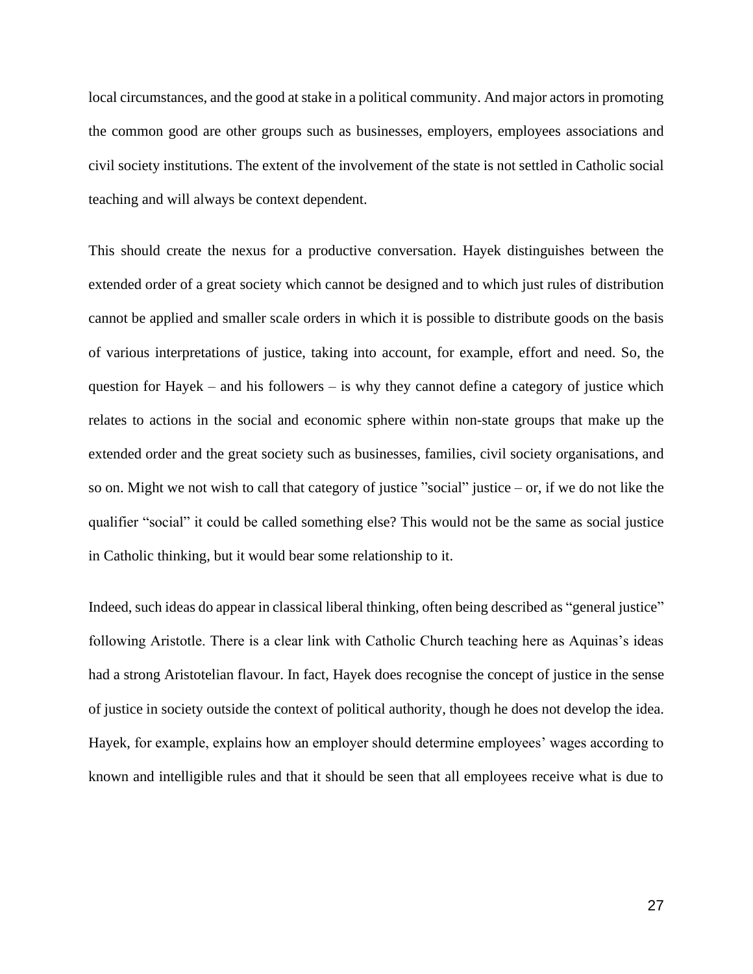local circumstances, and the good at stake in a political community. And major actors in promoting the common good are other groups such as businesses, employers, employees associations and civil society institutions. The extent of the involvement of the state is not settled in Catholic social teaching and will always be context dependent.

This should create the nexus for a productive conversation. Hayek distinguishes between the extended order of a great society which cannot be designed and to which just rules of distribution cannot be applied and smaller scale orders in which it is possible to distribute goods on the basis of various interpretations of justice, taking into account, for example, effort and need. So, the question for Hayek – and his followers – is why they cannot define a category of justice which relates to actions in the social and economic sphere within non-state groups that make up the extended order and the great society such as businesses, families, civil society organisations, and so on. Might we not wish to call that category of justice "social" justice – or, if we do not like the qualifier "social" it could be called something else? This would not be the same as social justice in Catholic thinking, but it would bear some relationship to it.

Indeed, such ideas do appear in classical liberal thinking, often being described as "general justice" following Aristotle. There is a clear link with Catholic Church teaching here as Aquinas's ideas had a strong Aristotelian flavour. In fact, Hayek does recognise the concept of justice in the sense of justice in society outside the context of political authority, though he does not develop the idea. Hayek, for example, explains how an employer should determine employees' wages according to known and intelligible rules and that it should be seen that all employees receive what is due to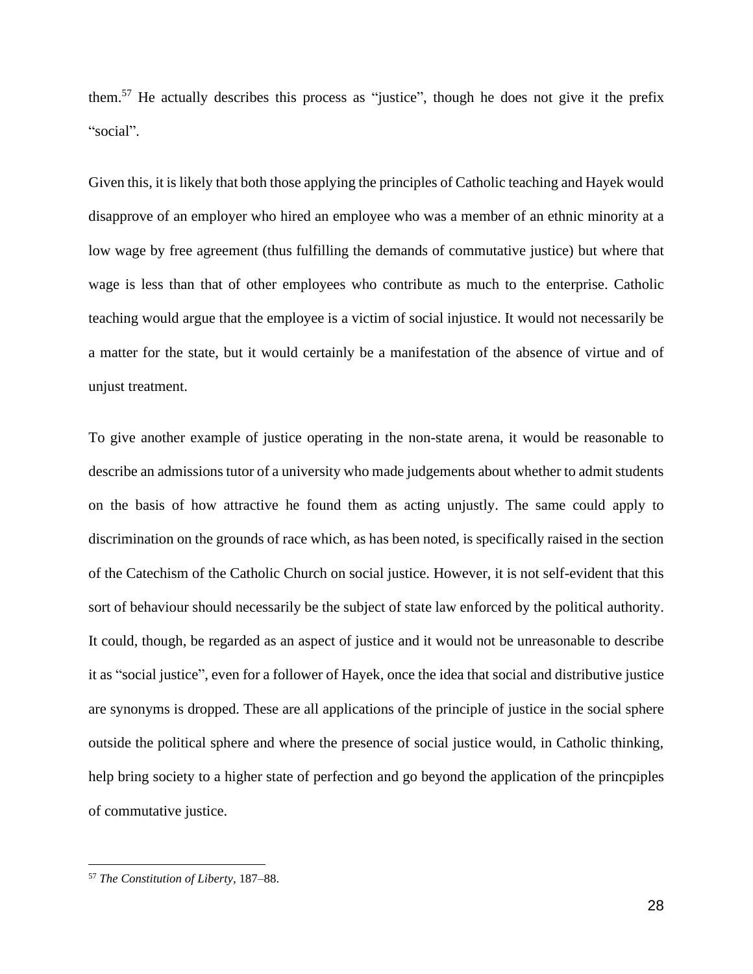them.<sup>57</sup> He actually describes this process as "justice", though he does not give it the prefix "social".

Given this, it is likely that both those applying the principles of Catholic teaching and Hayek would disapprove of an employer who hired an employee who was a member of an ethnic minority at a low wage by free agreement (thus fulfilling the demands of commutative justice) but where that wage is less than that of other employees who contribute as much to the enterprise. Catholic teaching would argue that the employee is a victim of social injustice. It would not necessarily be a matter for the state, but it would certainly be a manifestation of the absence of virtue and of unjust treatment.

To give another example of justice operating in the non-state arena, it would be reasonable to describe an admissions tutor of a university who made judgements about whether to admit students on the basis of how attractive he found them as acting unjustly. The same could apply to discrimination on the grounds of race which, as has been noted, is specifically raised in the section of the Catechism of the Catholic Church on social justice. However, it is not self-evident that this sort of behaviour should necessarily be the subject of state law enforced by the political authority. It could, though, be regarded as an aspect of justice and it would not be unreasonable to describe it as "social justice", even for a follower of Hayek, once the idea that social and distributive justice are synonyms is dropped. These are all applications of the principle of justice in the social sphere outside the political sphere and where the presence of social justice would, in Catholic thinking, help bring society to a higher state of perfection and go beyond the application of the princpiples of commutative justice.

<sup>57</sup> *The Constitution of Liberty*, 187–88.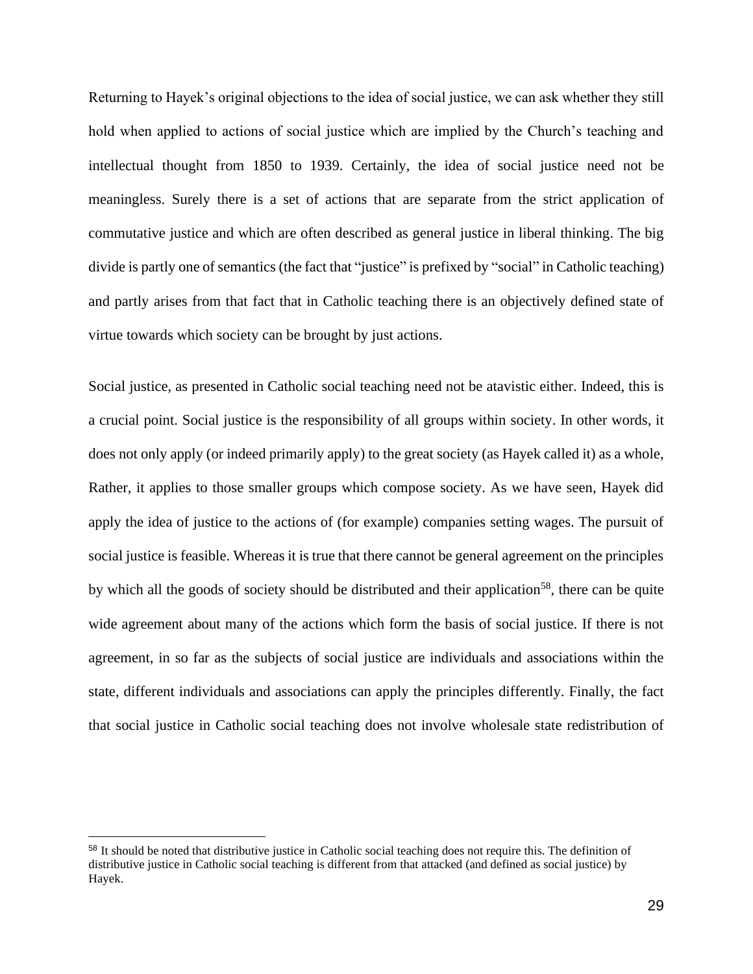Returning to Hayek's original objections to the idea of social justice, we can ask whether they still hold when applied to actions of social justice which are implied by the Church's teaching and intellectual thought from 1850 to 1939. Certainly, the idea of social justice need not be meaningless. Surely there is a set of actions that are separate from the strict application of commutative justice and which are often described as general justice in liberal thinking. The big divide is partly one of semantics (the fact that "justice" is prefixed by "social" in Catholic teaching) and partly arises from that fact that in Catholic teaching there is an objectively defined state of virtue towards which society can be brought by just actions.

Social justice, as presented in Catholic social teaching need not be atavistic either. Indeed, this is a crucial point. Social justice is the responsibility of all groups within society. In other words, it does not only apply (or indeed primarily apply) to the great society (as Hayek called it) as a whole, Rather, it applies to those smaller groups which compose society. As we have seen, Hayek did apply the idea of justice to the actions of (for example) companies setting wages. The pursuit of social justice is feasible. Whereas it is true that there cannot be general agreement on the principles by which all the goods of society should be distributed and their application<sup>58</sup>, there can be quite wide agreement about many of the actions which form the basis of social justice. If there is not agreement, in so far as the subjects of social justice are individuals and associations within the state, different individuals and associations can apply the principles differently. Finally, the fact that social justice in Catholic social teaching does not involve wholesale state redistribution of

<sup>58</sup> It should be noted that distributive justice in Catholic social teaching does not require this. The definition of distributive justice in Catholic social teaching is different from that attacked (and defined as social justice) by Hayek.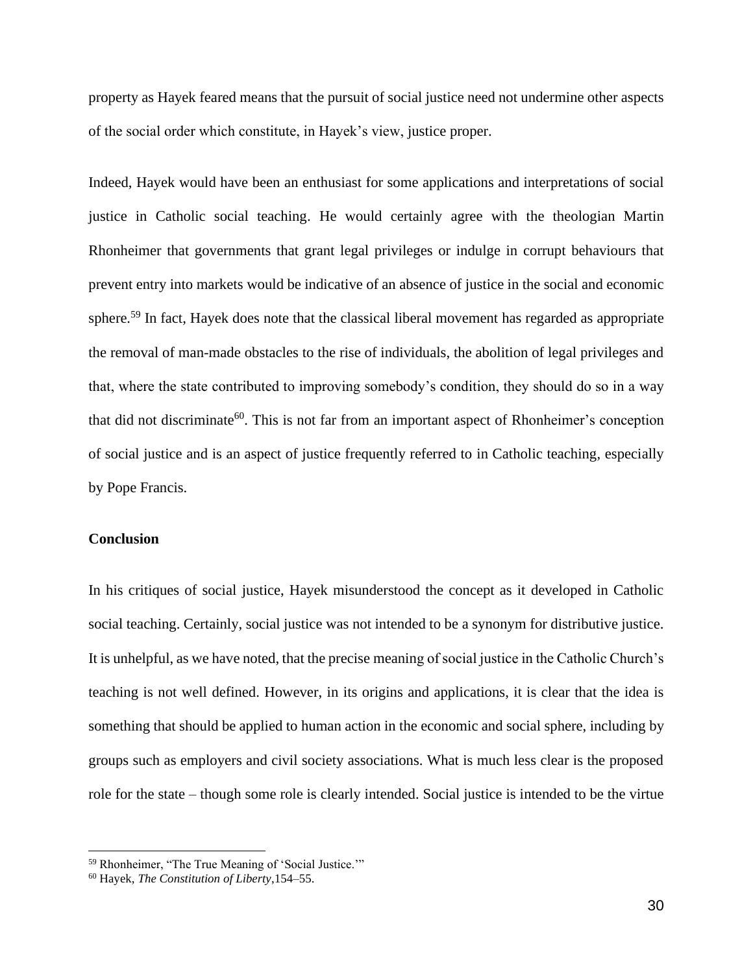property as Hayek feared means that the pursuit of social justice need not undermine other aspects of the social order which constitute, in Hayek's view, justice proper.

Indeed, Hayek would have been an enthusiast for some applications and interpretations of social justice in Catholic social teaching. He would certainly agree with the theologian Martin Rhonheimer that governments that grant legal privileges or indulge in corrupt behaviours that prevent entry into markets would be indicative of an absence of justice in the social and economic sphere.<sup>59</sup> In fact, Hayek does note that the classical liberal movement has regarded as appropriate the removal of man-made obstacles to the rise of individuals, the abolition of legal privileges and that, where the state contributed to improving somebody's condition, they should do so in a way that did not discriminate<sup>60</sup>. This is not far from an important aspect of Rhonheimer's conception of social justice and is an aspect of justice frequently referred to in Catholic teaching, especially by Pope Francis.

#### **Conclusion**

In his critiques of social justice, Hayek misunderstood the concept as it developed in Catholic social teaching. Certainly, social justice was not intended to be a synonym for distributive justice. It is unhelpful, as we have noted, that the precise meaning of social justice in the Catholic Church's teaching is not well defined. However, in its origins and applications, it is clear that the idea is something that should be applied to human action in the economic and social sphere, including by groups such as employers and civil society associations. What is much less clear is the proposed role for the state – though some role is clearly intended. Social justice is intended to be the virtue

<sup>59</sup> Rhonheimer, "The True Meaning of 'Social Justice.'"

<sup>60</sup> Hayek, *The Constitution of Liberty*,154–55.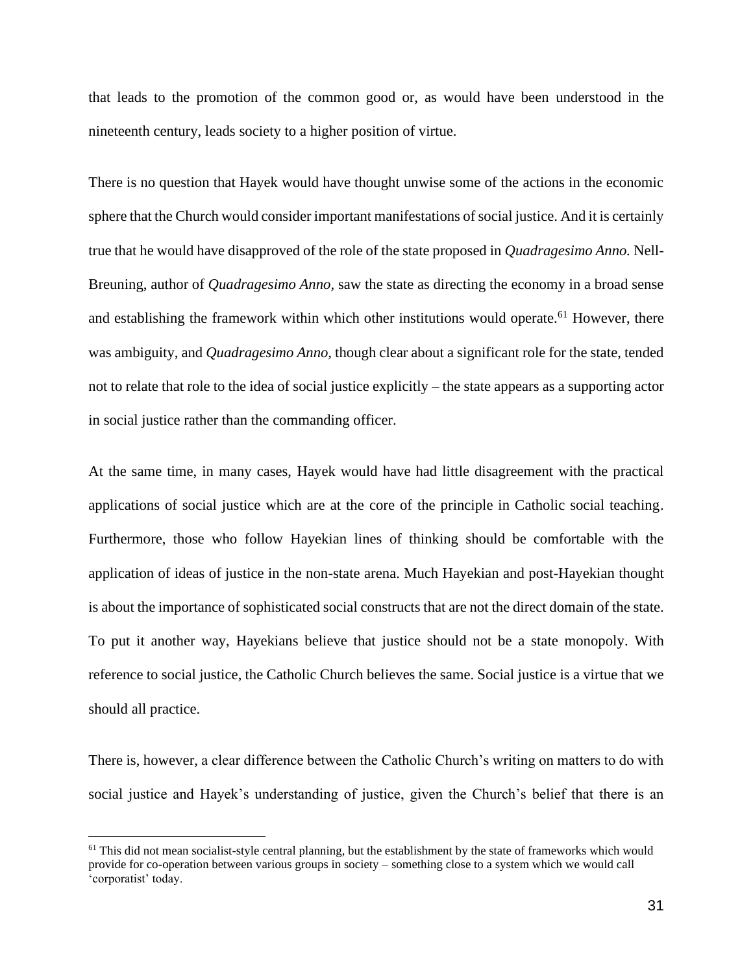that leads to the promotion of the common good or, as would have been understood in the nineteenth century, leads society to a higher position of virtue.

There is no question that Hayek would have thought unwise some of the actions in the economic sphere that the Church would consider important manifestations of social justice. And it is certainly true that he would have disapproved of the role of the state proposed in *Quadragesimo Anno.* Nell-Breuning, author of *Quadragesimo Anno,* saw the state as directing the economy in a broad sense and establishing the framework within which other institutions would operate.<sup>61</sup> However, there was ambiguity, and *Quadragesimo Anno,* though clear about a significant role for the state, tended not to relate that role to the idea of social justice explicitly – the state appears as a supporting actor in social justice rather than the commanding officer.

At the same time, in many cases, Hayek would have had little disagreement with the practical applications of social justice which are at the core of the principle in Catholic social teaching. Furthermore, those who follow Hayekian lines of thinking should be comfortable with the application of ideas of justice in the non-state arena. Much Hayekian and post-Hayekian thought is about the importance of sophisticated social constructs that are not the direct domain of the state. To put it another way, Hayekians believe that justice should not be a state monopoly. With reference to social justice, the Catholic Church believes the same. Social justice is a virtue that we should all practice.

There is, however, a clear difference between the Catholic Church's writing on matters to do with social justice and Hayek's understanding of justice, given the Church's belief that there is an

<sup>&</sup>lt;sup>61</sup> This did not mean socialist-style central planning, but the establishment by the state of frameworks which would provide for co-operation between various groups in society – something close to a system which we would call 'corporatist' today.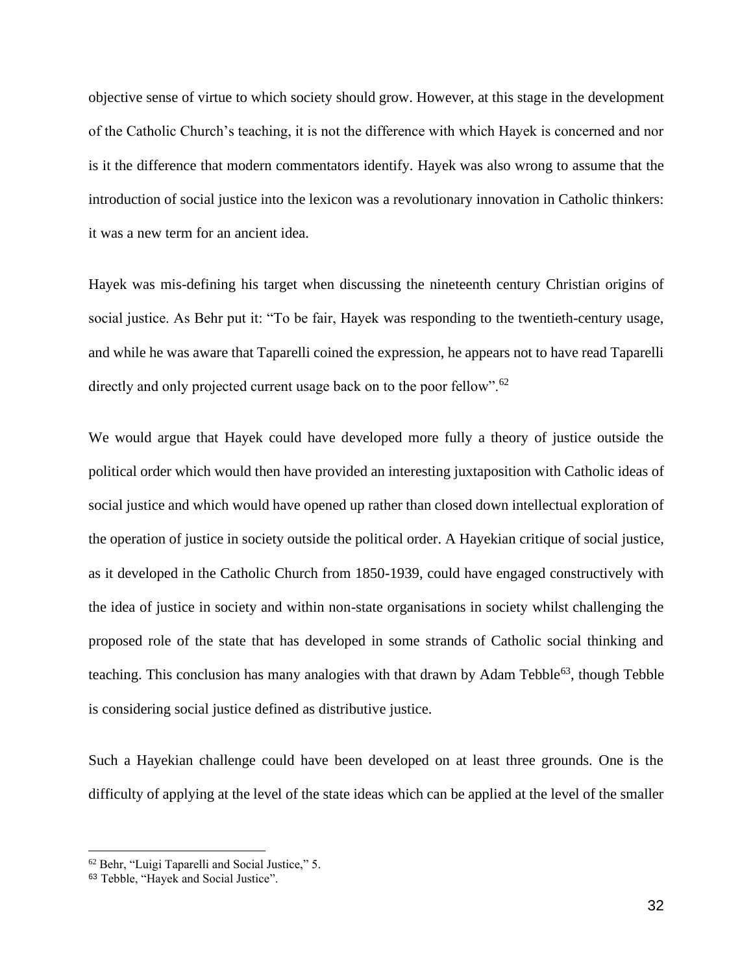objective sense of virtue to which society should grow. However, at this stage in the development of the Catholic Church's teaching, it is not the difference with which Hayek is concerned and nor is it the difference that modern commentators identify. Hayek was also wrong to assume that the introduction of social justice into the lexicon was a revolutionary innovation in Catholic thinkers: it was a new term for an ancient idea.

Hayek was mis-defining his target when discussing the nineteenth century Christian origins of social justice. As Behr put it: "To be fair, Hayek was responding to the twentieth-century usage, and while he was aware that Taparelli coined the expression, he appears not to have read Taparelli directly and only projected current usage back on to the poor fellow".<sup>62</sup>

We would argue that Hayek could have developed more fully a theory of justice outside the political order which would then have provided an interesting juxtaposition with Catholic ideas of social justice and which would have opened up rather than closed down intellectual exploration of the operation of justice in society outside the political order. A Hayekian critique of social justice, as it developed in the Catholic Church from 1850-1939, could have engaged constructively with the idea of justice in society and within non-state organisations in society whilst challenging the proposed role of the state that has developed in some strands of Catholic social thinking and teaching. This conclusion has many analogies with that drawn by Adam Tebble<sup>63</sup>, though Tebble is considering social justice defined as distributive justice.

Such a Hayekian challenge could have been developed on at least three grounds. One is the difficulty of applying at the level of the state ideas which can be applied at the level of the smaller

<sup>62</sup> Behr, "Luigi Taparelli and Social Justice," 5.

<sup>63</sup> Tebble, "Hayek and Social Justice".